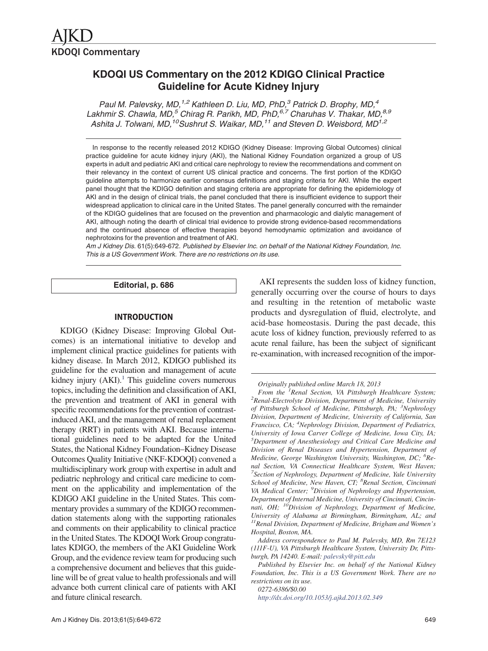# **KDOQI US Commentary on the 2012 KDIGO Clinical Practice Guideline for Acute Kidney Injury**

*Paul M. Palevsky, MD,<sup>1,2</sup> Kathleen D. Liu, MD, PhD,<sup>3</sup> Patrick D. Brophy, MD,<sup>4</sup>* Lakhmir S. Chawla, MD,<sup>5</sup> Chirag R. Parikh, MD, PhD,<sup>6,7</sup> Charuhas V. Thakar, MD,<sup>8,9</sup> *Ashita J. Tolwani, MD,10Sushrut S. Waikar, MD,11 and Steven D. Weisbord, MD1,2*

In response to the recently released 2012 KDIGO (Kidney Disease: Improving Global Outcomes) clinical practice guideline for acute kidney injury (AKI), the National Kidney Foundation organized a group of US experts in adult and pediatric AKI and critical care nephrology to review the recommendations and comment on their relevancy in the context of current US clinical practice and concerns. The first portion of the KDIGO guideline attempts to harmonize earlier consensus definitions and staging criteria for AKI. While the expert panel thought that the KDIGO definition and staging criteria are appropriate for defining the epidemiology of AKI and in the design of clinical trials, the panel concluded that there is insufficient evidence to support their widespread application to clinical care in the United States. The panel generally concurred with the remainder of the KDIGO guidelines that are focused on the prevention and pharmacologic and dialytic management of AKI, although noting the dearth of clinical trial evidence to provide strong evidence-based recommendations and the continued absence of effective therapies beyond hemodynamic optimization and avoidance of nephrotoxins for the prevention and treatment of AKI.

*Am J Kidney Dis.* 61(5):649-672. *Published by Elsevier Inc. on behalf of the National Kidney Foundation, Inc. This is a US Government Work. There are no restrictions on its use.*

## **Editorial, p. 686**

# **INTRODUCTION**

KDIGO (Kidney Disease: Improving Global Outcomes) is an international initiative to develop and implement clinical practice guidelines for patients with kidney disease. In March 2012, KDIGO published its guideline for the evaluation and management of acute kidney injury  $(AKI)$ .<sup>1</sup> This guideline covers numerous topics, including the definition and classification of AKI, the prevention and treatment of AKI in general with specific recommendations for the prevention of contrastinduced AKI, and the management of renal replacement therapy (RRT) in patients with AKI. Because international guidelines need to be adapted for the United States, the National Kidney Foundation–Kidney Disease Outcomes Quality Initiative (NKF-KDOQI) convened a multidisciplinary work group with expertise in adult and pediatric nephrology and critical care medicine to comment on the applicability and implementation of the KDIGO AKI guideline in the United States. This commentary provides a summary of the KDIGO recommendation statements along with the supporting rationales and comments on their applicability to clinical practice in the United States. The KDOQI Work Group congratulates KDIGO, the members of the AKI Guideline Work Group, and the evidence review team for producing such a comprehensive document and believes that this guideline will be of great value to health professionals and will advance both current clinical care of patients with AKI and future clinical research.

AKI represents the sudden loss of kidney function, generally occurring over the course of hours to days and resulting in the retention of metabolic waste products and dysregulation of fluid, electrolyte, and acid-base homeostasis. During the past decade, this acute loss of kidney function, previously referred to as acute renal failure, has been the subject of significant re-examination, with increased recognition of the impor-

*Originally published online March 18, 2013*

*From the* <sup>*1</sup>Renal Section, VA Pittsburgh Healthcare System;*<br><sup>2</sup>*Renal Electrolyte Division, Department of Medicine, University</sup> Renal-Electrolyte Division, Department of Medicine, University of Pittsburgh School of Medicine, Pittsburgh, PA; <sup>3</sup> Nephrology Division, Department of Medicine, University of California, San Francisco, CA; <sup>4</sup> Nephrology Division, Department of Pediatrics, University of Iowa Carver College of Medicine, Iowa City, IA; 5 Department of Anesthesiology and Critical Care Medicine and Division of Renal Diseases and Hypertension, Department of Medicine, George Washington University, Washington, DC; <sup>6</sup> Renal Section, VA Connecticut Healthcare System, West Haven; 7 Section of Nephrology, Department of Medicine, Yale University School of Medicine, New Haven, CT; <sup>8</sup> Renal Section, Cincinnati VA Medical Center; <sup>9</sup> Division of Nephrology and Hypertension, Department of Internal Medicine, University of Cincinnati, Cincinnati, OH; 10Division of Nephrology, Department of Medicine, University of Alabama at Birmingham, Birmingham, AL; and 11Renal Division, Department of Medicine, Brigham and Women's Hospital, Boston, MA.*

*Address correspondence to Paul M. Palevsky, MD, Rm 7E123 (111F-U), VA Pittsburgh Healthcare System, University Dr, Pittsburgh, PA 14240. E-mail: [palevsky@pitt.edu](mailto:palevsky@pitt.edu)*

*Published by Elsevier Inc. on behalf of the National Kidney Foundation, Inc. This is a US Government Work. There are no restrictions on its use.*

*0272-6386/\$0.00*

*<http://dx.doi.org/10.1053/j.ajkd.2013.02.349>*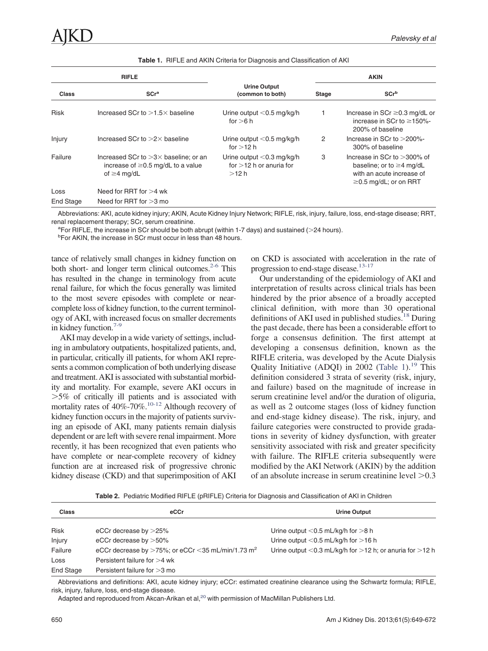|                  | <b>RIFLE</b>                                                                                                |                                                                     | <b>AKIN</b>  |                                                                                                                                |  |
|------------------|-------------------------------------------------------------------------------------------------------------|---------------------------------------------------------------------|--------------|--------------------------------------------------------------------------------------------------------------------------------|--|
| <b>Class</b>     | SCr <sup>a</sup>                                                                                            | <b>Urine Output</b><br>(common to both)                             | <b>Stage</b> | SCr <sup>b</sup>                                                                                                               |  |
| <b>Risk</b>      | Increased SCr to $>1.5\times$ baseline                                                                      | Urine output $<$ 0.5 mg/kg/h<br>for $>6$ h                          |              | Increase in SCr $\geq$ 0.3 mg/dL or<br>increase in SCr to $\geq$ 150%-<br>200% of baseline                                     |  |
| Injury           | Increased SCr to $>2\times$ baseline                                                                        | Urine output $<$ 0.5 mg/kg/h<br>for $>12$ h                         | 2            | Increase in SCr to $>$ 200%-<br>300% of baseline                                                                               |  |
| Failure          | Increased SCr to $>3\times$ baseline; or an<br>increase of $\geq$ 0.5 mg/dL to a value<br>of $\geq$ 4 mg/dL | Urine output $<$ 0.3 mg/kg/h<br>for $>$ 12 h or anuria for<br>>12 h | 3            | Increase in $SCr$ to $>300\%$ of<br>baseline; or to $\geq$ 4 mg/dL<br>with an acute increase of<br>$\geq$ 0.5 mg/dL; or on RRT |  |
| Loss             | Need for RRT for $>4$ wk                                                                                    |                                                                     |              |                                                                                                                                |  |
| <b>End Stage</b> | Need for RRT for $>3$ mo                                                                                    |                                                                     |              |                                                                                                                                |  |

<span id="page-1-0"></span>

|  |  | Table 1. RIFLE and AKIN Criteria for Diagnosis and Classification of AKI |  |
|--|--|--------------------------------------------------------------------------|--|
|--|--|--------------------------------------------------------------------------|--|

Abbreviations: AKI, acute kidney injury; AKIN, Acute Kidney Injury Network; RIFLE, risk, injury, failure, loss, end-stage disease; RRT, renal replacement therapy; SCr, serum creatinine.

<sup>a</sup>For RIFLE, the increase in SCr should be both abrupt (within 1-7 days) and sustained (>24 hours).

<sup>b</sup>For AKIN, the increase in SCr must occur in less than 48 hours.

tance of relatively small changes in kidney function on both short- and longer term clinical outcomes. $2-6$  This has resulted in the change in terminology from acute renal failure, for which the focus generally was limited to the most severe episodes with complete or nearcomplete loss of kidney function, to the current terminology of AKI, with increased focus on smaller decrements in kidney function.<sup>7-9</sup>

AKI may develop in a wide variety of settings, including in ambulatory outpatients, hospitalized patients, and, in particular, critically ill patients, for whom AKI represents a common complication of both underlying disease and treatment.AKI is associated with substantial morbidity and mortality. For example, severe AKI occurs in 5% of critically ill patients and is associated with mortality rates of 40%-70%.<sup>10-12</sup> Although recovery of kidney function occurs in the majority of patients surviving an episode of AKI, many patients remain dialysis dependent or are left with severe renal impairment. More recently, it has been recognized that even patients who have complete or near-complete recovery of kidney function are at increased risk of progressive chronic kidney disease (CKD) and that superimposition of AKI

on CKD is associated with acceleration in the rate of progression to end-stage disease.<sup>13-17</sup>

Our understanding of the epidemiology of AKI and interpretation of results across clinical trials has been hindered by the prior absence of a broadly accepted clinical definition, with more than 30 operational definitions of AKI used in published studies.<sup>18</sup> During the past decade, there has been a considerable effort to forge a consensus definition. The first attempt at developing a consensus definition, known as the RIFLE criteria, was developed by the Acute Dialysis Quality Initiative (ADQI) in 2002 [\(Table 1\)](#page-1-0).<sup>[19](#page-19-2)</sup> This definition considered 3 strata of severity (risk, injury, and failure) based on the magnitude of increase in serum creatinine level and/or the duration of oliguria, as well as 2 outcome stages (loss of kidney function and end-stage kidney disease). The risk, injury, and failure categories were constructed to provide gradations in severity of kidney dysfunction, with greater sensitivity associated with risk and greater specificity with failure. The RIFLE criteria subsequently were modified by the AKI Network (AKIN) by the addition of an absolute increase in serum creatinine level  $> 0.3$ 

<span id="page-1-1"></span>**Table 2.** Pediatric Modified RIFLE (pRIFLE) Criteria for Diagnosis and Classification of AKI in Children

| <b>Class</b>     | eCCr                                                               | <b>Urine Output</b>                                               |
|------------------|--------------------------------------------------------------------|-------------------------------------------------------------------|
| Risk             | eCCr decrease by $>25\%$                                           | Urine output $<$ 0.5 mL/kg/h for $>$ 8 h                          |
| Injury           | eCCr decrease by >50%                                              | Urine output $<$ 0.5 mL/kg/h for $>$ 16 h                         |
| Failure          | eCCr decrease by $>75\%$ ; or eCCr < 35 mL/min/1.73 m <sup>2</sup> | Urine output $<$ 0.3 mL/kg/h for $>$ 12 h; or anuria for $>$ 12 h |
| Loss             | Persistent failure for $>4$ wk                                     |                                                                   |
| <b>End Stage</b> | Persistent failure for $>3$ mo                                     |                                                                   |

Abbreviations and definitions: AKI, acute kidney injury; eCCr: estimated creatinine clearance using the Schwartz formula; RIFLE, risk, injury, failure, loss, end-stage disease.

Adapted and reproduced from Akcan-Arikan et al,<sup>20</sup> with permission of MacMillan Publishers Ltd.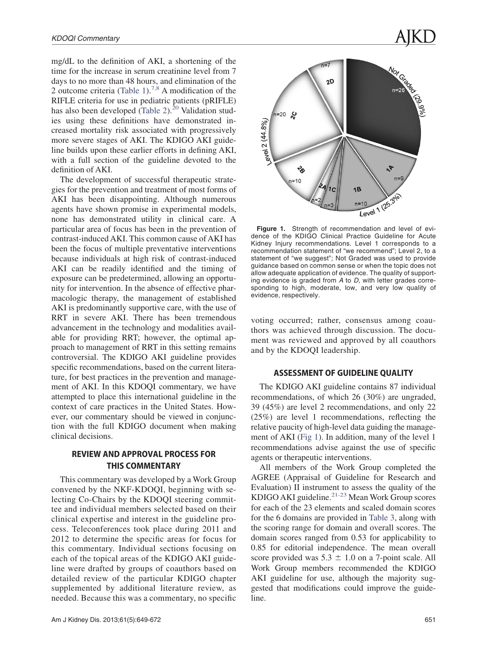mg/dL to the definition of AKI, a shortening of the time for the increase in serum creatinine level from 7 days to no more than 48 hours, and elimination of the 2 outcome criteria [\(Table 1\)](#page-1-0).<sup>[7,8](#page-18-2)</sup> A modification of the RIFLE criteria for use in pediatric patients (pRIFLE) has also been developed [\(Table 2\)](#page-1-1). $^{20}$  $^{20}$  $^{20}$  Validation studies using these definitions have demonstrated increased mortality risk associated with progressively more severe stages of AKI. The KDIGO AKI guideline builds upon these earlier efforts in defining AKI, with a full section of the guideline devoted to the definition of AKI.

The development of successful therapeutic strategies for the prevention and treatment of most forms of AKI has been disappointing. Although numerous agents have shown promise in experimental models, none has demonstrated utility in clinical care. A particular area of focus has been in the prevention of contrast-induced AKI. This common cause of AKI has been the focus of multiple preventative interventions because individuals at high risk of contrast-induced AKI can be readily identified and the timing of exposure can be predetermined, allowing an opportunity for intervention. In the absence of effective pharmacologic therapy, the management of established AKI is predominantly supportive care, with the use of RRT in severe AKI. There has been tremendous advancement in the technology and modalities available for providing RRT; however, the optimal approach to management of RRT in this setting remains controversial. The KDIGO AKI guideline provides specific recommendations, based on the current literature, for best practices in the prevention and management of AKI. In this KDOQI commentary, we have attempted to place this international guideline in the context of care practices in the United States. However, our commentary should be viewed in conjunction with the full KDIGO document when making clinical decisions.

# **REVIEW AND APPROVAL PROCESS FOR THIS COMMENTARY**

This commentary was developed by a Work Group convened by the NKF-KDOQI, beginning with selecting Co-Chairs by the KDOQI steering committee and individual members selected based on their clinical expertise and interest in the guideline process. Teleconferences took place during 2011 and 2012 to determine the specific areas for focus for this commentary. Individual sections focusing on each of the topical areas of the KDIGO AKI guideline were drafted by groups of coauthors based on detailed review of the particular KDIGO chapter supplemented by additional literature review, as needed. Because this was a commentary, no specific



<span id="page-2-0"></span>**Figure 1.** Strength of recommendation and level of evidence of the KDIGO Clinical Practice Guideline for Acute Kidney Injury recommendations. Level 1 corresponds to a recommendation statement of "we recommend"; Level 2, to a statement of "we suggest"; Not Graded was used to provide guidance based on common sense or when the topic does not allow adequate application of evidence. The quality of supporting evidence is graded from *A* to *D*, with letter grades corresponding to high, moderate, low, and very low quality of evidence, respectively.

voting occurred; rather, consensus among coauthors was achieved through discussion. The document was reviewed and approved by all coauthors and by the KDOQI leadership.

# **ASSESSMENT OF GUIDELINE QUALITY**

The KDIGO AKI guideline contains 87 individual recommendations, of which 26 (30%) are ungraded, 39 (45%) are level 2 recommendations, and only 22 (25%) are level 1 recommendations, reflecting the relative paucity of high-level data guiding the management of AKI [\(Fig 1\)](#page-2-0). In addition, many of the level 1 recommendations advise against the use of specific agents or therapeutic interventions.

All members of the Work Group completed the AGREE (Appraisal of Guideline for Research and Evaluation) II instrument to assess the quality of the KDIGO AKI guideline[.21-23](#page-19-4) Mean Work Group scores for each of the 23 elements and scaled domain scores for the 6 domains are provided in [Table 3,](#page-3-0) along with the scoring range for domain and overall scores. The domain scores ranged from 0.53 for applicability to 0.85 for editorial independence. The mean overall score provided was  $5.3 \pm 1.0$  on a 7-point scale. All Work Group members recommended the KDIGO AKI guideline for use, although the majority suggested that modifications could improve the guideline.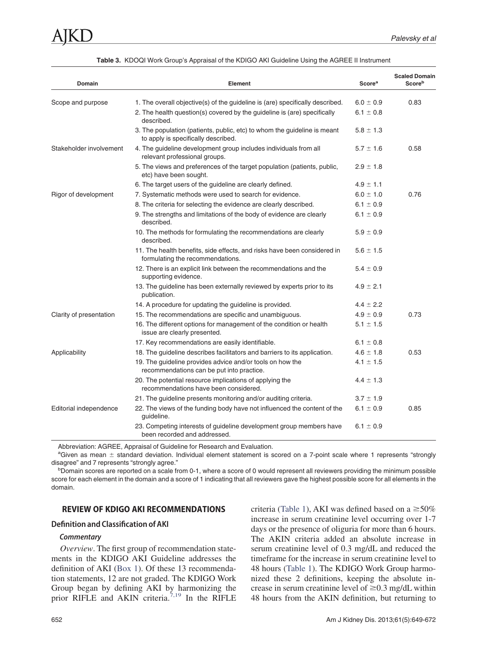| Domain                  | Element                                                                                                         | Score <sup>a</sup> | <b>Scaled Domain</b><br><b>Score</b> <sup>b</sup> |
|-------------------------|-----------------------------------------------------------------------------------------------------------------|--------------------|---------------------------------------------------|
| Scope and purpose       | 1. The overall objective(s) of the guideline is (are) specifically described.                                   | $6.0 \pm 0.9$      | 0.83                                              |
|                         | 2. The health question(s) covered by the guideline is (are) specifically<br>described.                          | $6.1 \pm 0.8$      |                                                   |
|                         | 3. The population (patients, public, etc) to whom the guideline is meant<br>to apply is specifically described. | $5.8 \pm 1.3$      |                                                   |
| Stakeholder involvement | 4. The guideline development group includes individuals from all<br>relevant professional groups.               | $5.7 \pm 1.6$      | 0.58                                              |
|                         | 5. The views and preferences of the target population (patients, public,<br>etc) have been sought.              | $2.9 \pm 1.8$      |                                                   |
|                         | 6. The target users of the guideline are clearly defined.                                                       | $4.9 \pm 1.1$      |                                                   |
| Rigor of development    | 7. Systematic methods were used to search for evidence.                                                         | $6.0 \pm 1.0$      | 0.76                                              |
|                         | 8. The criteria for selecting the evidence are clearly described.                                               | $6.1 \pm 0.9$      |                                                   |
|                         | 9. The strengths and limitations of the body of evidence are clearly<br>described.                              | $6.1 \pm 0.9$      |                                                   |
|                         | 10. The methods for formulating the recommendations are clearly<br>described.                                   | $5.9 \pm 0.9$      |                                                   |
|                         | 11. The health benefits, side effects, and risks have been considered in<br>formulating the recommendations.    | $5.6 \pm 1.5$      |                                                   |
|                         | 12. There is an explicit link between the recommendations and the<br>supporting evidence.                       | $5.4 \pm 0.9$      |                                                   |
|                         | 13. The guideline has been externally reviewed by experts prior to its<br>publication.                          | $4.9 \pm 2.1$      |                                                   |
|                         | 14. A procedure for updating the guideline is provided.                                                         | $4.4 \pm 2.2$      |                                                   |
| Clarity of presentation | 15. The recommendations are specific and unambiguous.                                                           | $4.9 \pm 0.9$      | 0.73                                              |
|                         | 16. The different options for management of the condition or health<br>issue are clearly presented.             | $5.1 \pm 1.5$      |                                                   |
|                         | 17. Key recommendations are easily identifiable.                                                                | $6.1 \pm 0.8$      |                                                   |
| Applicability           | 18. The guideline describes facilitators and barriers to its application.                                       | $4.6 \pm 1.8$      | 0.53                                              |
|                         | 19. The guideline provides advice and/or tools on how the<br>recommendations can be put into practice.          | $4.1 \pm 1.5$      |                                                   |
|                         | 20. The potential resource implications of applying the<br>recommendations have been considered.                | $4.4 \pm 1.3$      |                                                   |
|                         | 21. The guideline presents monitoring and/or auditing criteria.                                                 | $3.7 \pm 1.9$      |                                                   |
| Editorial independence  | 22. The views of the funding body have not influenced the content of the<br>guideline.                          | $6.1 \pm 0.9$      | 0.85                                              |
|                         | 23. Competing interests of guideline development group members have<br>been recorded and addressed.             | $6.1 \pm 0.9$      |                                                   |

<span id="page-3-0"></span>**Table 3.** KDOQI Work Group's Appraisal of the KDIGO AKI Guideline Using the AGREE II Instrument

Abbreviation: AGREE, Appraisal of Guideline for Research and Evaluation.

aciven as mean ± standard deviation. Individual element statement is scored on a 7-point scale where 1 represents "strongly disagree" and 7 represents "strongly agree."

**bDomain scores are reported on a scale from 0-1**, where a score of 0 would represent all reviewers providing the minimum possible score for each element in the domain and a score of 1 indicating that all reviewers gave the highest possible score for all elements in the domain.

#### **REVIEW OF KDIGO AKI RECOMMENDATIONS**

# **Definition and Classification of AKI**

### **Commentary**

*Overview*. The first group of recommendation statements in the KDIGO AKI Guideline addresses the definition of AKI [\(Box 1\)](#page-4-0). Of these 13 recommendation statements, 12 are not graded. The KDIGO Work Group began by defining AKI by harmonizing the prior RIFLE and AKIN criteria.<sup>7,19</sup> In the RIFLE criteria [\(Table 1\)](#page-1-0), AKI was defined based on a  $\geq 50\%$ increase in serum creatinine level occurring over 1-7 days or the presence of oliguria for more than 6 hours. The AKIN criteria added an absolute increase in serum creatinine level of 0.3 mg/dL and reduced the timeframe for the increase in serum creatinine level to 48 hours [\(Table 1\)](#page-1-0). The KDIGO Work Group harmonized these 2 definitions, keeping the absolute increase in serum creatinine level of  $\geq 0.3$  mg/dL within 48 hours from the AKIN definition, but returning to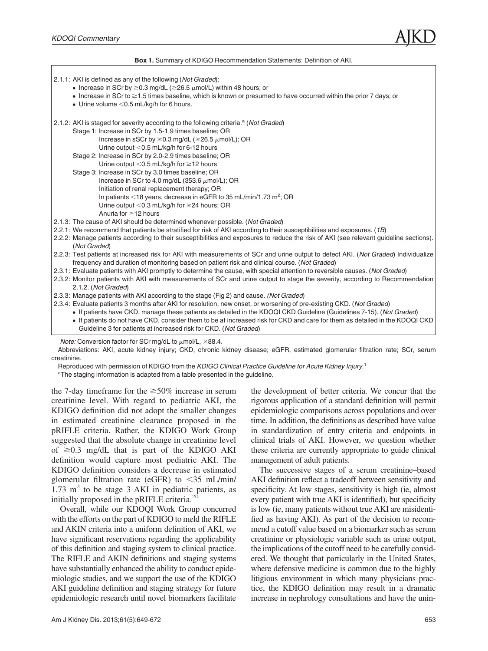#### <span id="page-4-0"></span>**Box 1.** Summary of KDIGO Recommendation Statements: Definition of AKI.

2.1.1: AKI is defined as any of the following (*Not Graded*): • Increase in SCr by  $\geq$ 0.3 mg/dL ( $\geq$ 26.5  $\mu$ mol/L) within 48 hours; or  $\bullet$  Increase in SCr to  $\geq$  1.5 times baseline, which is known or presumed to have occurred within the prior 7 days; or • Urine volume  $<$  0.5 mL/kg/h for 6 hours. 2.1.2: AKI is staged for severity according to the following criteria.<sup>a</sup> (Not Graded) Stage 1: Increase in SCr by 1.5-1.9 times baseline; OR Increase in sSCr by  $\geq$ 0.3 mg/dL ( $\geq$ 26.5  $\mu$ mol/L); OR Urine output  $<$  0.5 mL/kg/h for 6-12 hours Stage 2: Increase in SCr by 2.0-2.9 times baseline; OR Urine output  $<$  0.5 mL/kg/h for  $\ge$  12 hours Stage 3: Increase in SCr by 3.0 times baseline; OR Increase in SCr to 4.0 mg/dL (353.6  $\mu$ mol/L); OR Initiation of renal replacement therapy; OR In patients <18 years, decrease in eGFR to 35 mL/min/1.73 m<sup>2</sup>; OR Urine output  $<$  0.3 mL/kg/h for  $\geq$  24 hours; OR Anuria for  $\geq$  12 hours 2.1.3: The cause of AKI should be determined whenever possible. (*Not Graded*) 2.2.1: We recommend that patients be stratified for risk of AKI according to their susceptibilities and exposures. (*1B*) 2.2.2: Manage patients according to their susceptibilities and exposures to reduce the risk of AKI (see relevant guideline sections). (*Not Graded*) 2.2.3: Test patients at increased risk for AKI with measurements of SCr and urine output to detect AKI. (*Not Graded*) Individualize frequency and duration of monitoring based on patient risk and clinical course. (*Not Graded*) 2.3.1: Evaluate patients with AKI promptly to determine the cause, with special attention to reversible causes. (*Not Graded*) 2.3.2: Monitor patients with AKI with measurements of SCr and urine output to stage the severity, according to Recommendation 2.1.2. (*Not Graded*) 2.3.3: Manage patients with AKI according to the stage (Fig 2) and cause. *(Not Graded*) 2.3.4: Evaluate patients 3 months after AKI for resolution, new onset, or worsening of pre-existing CKD. (*Not Graded*) ● If patients have CKD, manage these patients as detailed in the KDOQI CKD Guideline (Guidelines 7-15). (*Not Graded*) ● If patients do not have CKD, consider them to be at increased risk for CKD and care for them as detailed in the KDOQI CKD Guideline 3 for patients at increased risk for CKD. (*Not Graded*)

*Note:* Conversion factor for SCr mg/dL to  $\mu$ mol/L,  $\times$ 88.4.

Abbreviations: AKI, acute kidney injury; CKD, chronic kidney disease; eGFR, estimated glomerular filtration rate; SCr, serum creatinine.

Reproduced with permission of KDIGO from the *KDIGO Clinical Practice Guideline for Acute Kidney Injury*. [1](#page-18-0)

<sup>a</sup>The staging information is adapted from a table presented in the guideline.

the 7-day timeframe for the  $\geq 50\%$  increase in serum creatinine level. With regard to pediatric AKI, the KDIGO definition did not adopt the smaller changes in estimated creatinine clearance proposed in the pRIFLE criteria. Rather, the KDIGO Work Group suggested that the absolute change in creatinine level of  $\geq 0.3$  mg/dL that is part of the KDIGO AKI definition would capture most pediatric AKI. The KDIGO definition considers a decrease in estimated glomerular filtration rate (eGFR) to  $\leq$ 35 mL/min/  $1.73 \text{ m}^2$  to be stage 3 AKI in pediatric patients, as initially proposed in the pRIFLE criteria.<sup>20</sup>

Overall, while our KDOQI Work Group concurred with the efforts on the part of KDIGO to meld the RIFLE and AKIN criteria into a uniform definition of AKI, we have significant reservations regarding the applicability of this definition and staging system to clinical practice. The RIFLE and AKIN definitions and staging systems have substantially enhanced the ability to conduct epidemiologic studies, and we support the use of the KDIGO AKI guideline definition and staging strategy for future epidemiologic research until novel biomarkers facilitate

the development of better criteria. We concur that the rigorous application of a standard definition will permit epidemiologic comparisons across populations and over time. In addition, the definitions as described have value in standardization of entry criteria and endpoints in clinical trials of AKI. However, we question whether these criteria are currently appropriate to guide clinical management of adult patients.

The successive stages of a serum creatinine–based AKI definition reflect a tradeoff between sensitivity and specificity. At low stages, sensitivity is high (ie, almost every patient with true AKI is identified), but specificity is low (ie, many patients without true AKI are misidentified as having AKI). As part of the decision to recommend a cutoff value based on a biomarker such as serum creatinine or physiologic variable such as urine output, the implications of the cutoff need to be carefully considered. We thought that particularly in the United States, where defensive medicine is common due to the highly litigious environment in which many physicians practice, the KDIGO definition may result in a dramatic increase in nephrology consultations and have the unin-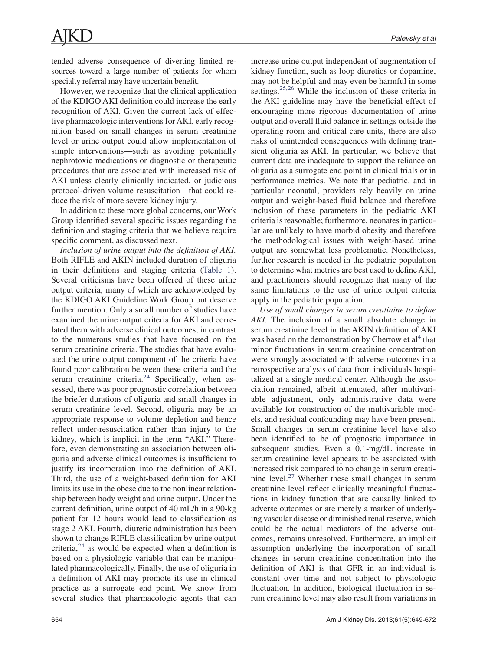# AIKI)

tended adverse consequence of diverting limited resources toward a large number of patients for whom specialty referral may have uncertain benefit.

However, we recognize that the clinical application of the KDIGO AKI definition could increase the early recognition of AKI. Given the current lack of effective pharmacologic interventions for AKI, early recognition based on small changes in serum creatinine level or urine output could allow implementation of simple interventions—such as avoiding potentially nephrotoxic medications or diagnostic or therapeutic procedures that are associated with increased risk of AKI unless clearly clinically indicated, or judicious protocol-driven volume resuscitation—that could reduce the risk of more severe kidney injury.

In addition to these more global concerns, our Work Group identified several specific issues regarding the definition and staging criteria that we believe require specific comment, as discussed next.

*Inclusion of urine output into the definition of AKI.* Both RIFLE and AKIN included duration of oliguria in their definitions and staging criteria [\(Table 1\)](#page-1-0). Several criticisms have been offered of these urine output criteria, many of which are acknowledged by the KDIGO AKI Guideline Work Group but deserve further mention. Only a small number of studies have examined the urine output criteria for AKI and correlated them with adverse clinical outcomes, in contrast to the numerous studies that have focused on the serum creatinine criteria. The studies that have evaluated the urine output component of the criteria have found poor calibration between these criteria and the serum creatinine criteria. $24$  Specifically, when assessed, there was poor prognostic correlation between the briefer durations of oliguria and small changes in serum creatinine level. Second, oliguria may be an appropriate response to volume depletion and hence reflect under-resuscitation rather than injury to the kidney, which is implicit in the term "AKI." Therefore, even demonstrating an association between oliguria and adverse clinical outcomes is insufficient to justify its incorporation into the definition of AKI. Third, the use of a weight-based definition for AKI limits its use in the obese due to the nonlinear relationship between body weight and urine output. Under the current definition, urine output of 40 mL/h in a 90-kg patient for 12 hours would lead to classification as stage 2 AKI. Fourth, diuretic administration has been shown to change RIFLE classification by urine output criteria, $24$  as would be expected when a definition is based on a physiologic variable that can be manipulated pharmacologically. Finally, the use of oliguria in a definition of AKI may promote its use in clinical practice as a surrogate end point. We know from several studies that pharmacologic agents that can increase urine output independent of augmentation of kidney function, such as loop diuretics or dopamine, may not be helpful and may even be harmful in some settings.<sup>[25,26](#page-19-6)</sup> While the inclusion of these criteria in the AKI guideline may have the beneficial effect of encouraging more rigorous documentation of urine output and overall fluid balance in settings outside the operating room and critical care units, there are also risks of unintended consequences with defining transient oliguria as AKI. In particular, we believe that current data are inadequate to support the reliance on oliguria as a surrogate end point in clinical trials or in performance metrics. We note that pediatric, and in particular neonatal, providers rely heavily on urine output and weight-based fluid balance and therefore inclusion of these parameters in the pediatric AKI criteria is reasonable; furthermore, neonates in particular are unlikely to have morbid obesity and therefore the methodological issues with weight-based urine output are somewhat less problematic. Nonetheless, further research is needed in the pediatric population to determine what metrics are best used to define AKI, and practitioners should recognize that many of the same limitations to the use of urine output criteria apply in the pediatric population.

*Use of small changes in serum creatinine to define AKI.* The inclusion of a small absolute change in serum creatinine level in the AKIN definition of AKI was based on the demonstration by Chertow et  $al<sup>4</sup>$  $al<sup>4</sup>$  $al<sup>4</sup>$  that minor fluctuations in serum creatinine concentration were strongly associated with adverse outcomes in a retrospective analysis of data from individuals hospitalized at a single medical center. Although the association remained, albeit attenuated, after multivariable adjustment, only administrative data were available for construction of the multivariable models, and residual confounding may have been present. Small changes in serum creatinine level have also been identified to be of prognostic importance in subsequent studies. Even a 0.1-mg/dL increase in serum creatinine level appears to be associated with increased risk compared to no change in serum creatinine level.[27](#page-19-7) Whether these small changes in serum creatinine level reflect clinically meaningful fluctuations in kidney function that are causally linked to adverse outcomes or are merely a marker of underlying vascular disease or diminished renal reserve, which could be the actual mediators of the adverse outcomes, remains unresolved. Furthermore, an implicit assumption underlying the incorporation of small changes in serum creatinine concentration into the definition of AKI is that GFR in an individual is constant over time and not subject to physiologic fluctuation. In addition, biological fluctuation in serum creatinine level may also result from variations in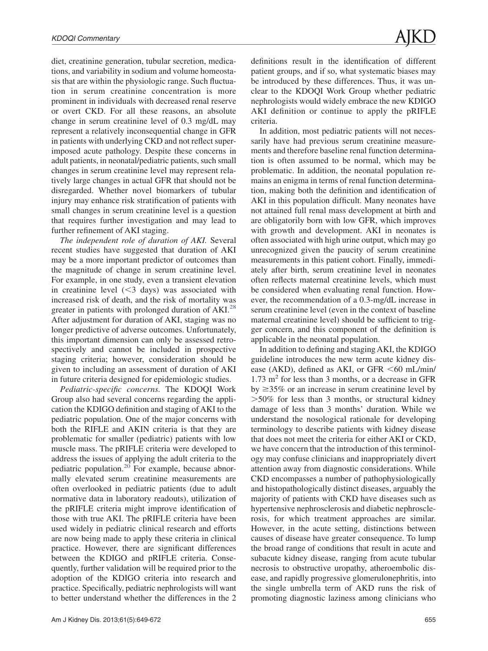diet, creatinine generation, tubular secretion, medications, and variability in sodium and volume homeostasis that are within the physiologic range. Such fluctuation in serum creatinine concentration is more prominent in individuals with decreased renal reserve or overt CKD. For all these reasons, an absolute change in serum creatinine level of 0.3 mg/dL may represent a relatively inconsequential change in GFR in patients with underlying CKD and not reflect superimposed acute pathology. Despite these concerns in adult patients, in neonatal/pediatric patients, such small changes in serum creatinine level may represent relatively large changes in actual GFR that should not be disregarded. Whether novel biomarkers of tubular injury may enhance risk stratification of patients with small changes in serum creatinine level is a question that requires further investigation and may lead to further refinement of AKI staging.

*The independent role of duration of AKI.* Several recent studies have suggested that duration of AKI may be a more important predictor of outcomes than the magnitude of change in serum creatinine level. For example, in one study, even a transient elevation in creatinine level  $( $3 \text{ days}$ )$  was associated with increased risk of death, and the risk of mortality was greater in patients with prolonged duration of  $AKI<sup>28</sup>$  $AKI<sup>28</sup>$  $AKI<sup>28</sup>$ After adjustment for duration of AKI, staging was no longer predictive of adverse outcomes. Unfortunately, this important dimension can only be assessed retrospectively and cannot be included in prospective staging criteria; however, consideration should be given to including an assessment of duration of AKI in future criteria designed for epidemiologic studies.

*Pediatric-specific concerns.* The KDOQI Work Group also had several concerns regarding the application the KDIGO definition and staging of AKI to the pediatric population. One of the major concerns with both the RIFLE and AKIN criteria is that they are problematic for smaller (pediatric) patients with low muscle mass. The pRIFLE criteria were developed to address the issues of applying the adult criteria to the pediatric population.<sup>20</sup> For example, because abnormally elevated serum creatinine measurements are often overlooked in pediatric patients (due to adult normative data in laboratory readouts), utilization of the pRIFLE criteria might improve identification of those with true AKI. The pRIFLE criteria have been used widely in pediatric clinical research and efforts are now being made to apply these criteria in clinical practice. However, there are significant differences between the KDIGO and pRIFLE criteria. Consequently, further validation will be required prior to the adoption of the KDIGO criteria into research and practice. Specifically, pediatric nephrologists will want to better understand whether the differences in the 2

definitions result in the identification of different patient groups, and if so, what systematic biases may be introduced by these differences. Thus, it was unclear to the KDOQI Work Group whether pediatric nephrologists would widely embrace the new KDIGO AKI definition or continue to apply the pRIFLE criteria.

In addition, most pediatric patients will not necessarily have had previous serum creatinine measurements and therefore baseline renal function determination is often assumed to be normal, which may be problematic. In addition, the neonatal population remains an enigma in terms of renal function determination, making both the definition and identification of AKI in this population difficult. Many neonates have not attained full renal mass development at birth and are obligatorily born with low GFR, which improves with growth and development. AKI in neonates is often associated with high urine output, which may go unrecognized given the paucity of serum creatinine measurements in this patient cohort. Finally, immediately after birth, serum creatinine level in neonates often reflects maternal creatinine levels, which must be considered when evaluating renal function. However, the recommendation of a 0.3-mg/dL increase in serum creatinine level (even in the context of baseline maternal creatinine level) should be sufficient to trigger concern, and this component of the definition is applicable in the neonatal population.

In addition to defining and staging AKI, the KDIGO guideline introduces the new term acute kidney disease (AKD), defined as AKI, or GFR  $\leq 60$  mL/min/  $1.73$  m<sup>2</sup> for less than 3 months, or a decrease in GFR by  $\geq$ 35% or an increase in serum creatinine level by  $>50\%$  for less than 3 months, or structural kidney damage of less than 3 months' duration. While we understand the nosological rationale for developing terminology to describe patients with kidney disease that does not meet the criteria for either AKI or CKD, we have concern that the introduction of this terminology may confuse clinicians and inappropriately divert attention away from diagnostic considerations. While CKD encompasses a number of pathophysiologically and histopathologically distinct diseases, arguably the majority of patients with CKD have diseases such as hypertensive nephrosclerosis and diabetic nephrosclerosis, for which treatment approaches are similar. However, in the acute setting, distinctions between causes of disease have greater consequence. To lump the broad range of conditions that result in acute and subacute kidney disease, ranging from acute tubular necrosis to obstructive uropathy, atheroembolic disease, and rapidly progressive glomerulonephritis, into the single umbrella term of AKD runs the risk of promoting diagnostic laziness among clinicians who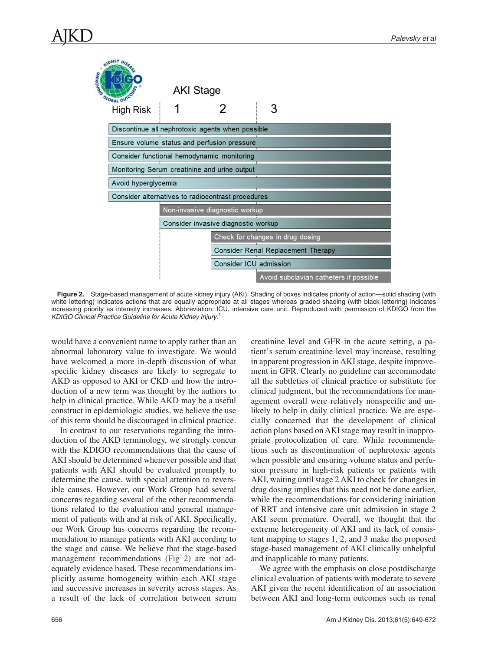

<span id="page-7-0"></span>**Figure 2.** Stage-based management of acute kidney injury (AKI). Shading of boxes indicates priority of action—solid shading (with white lettering) indicates actions that are equally appropriate at all stages whereas graded shading (with black lettering) indicates increasing priority as intensity increases. Abbreviation: ICU, intensive care unit. Reproduced with permission of KDIGO from the *KDIGO Clinical Practice Guideline for Acute Kidney Injury*. [1](#page-18-0)

would have a convenient name to apply rather than an abnormal laboratory value to investigate. We would have welcomed a more in-depth discussion of what specific kidney diseases are likely to segregate to AKD as opposed to AKI or CKD and how the introduction of a new term was thought by the authors to help in clinical practice. While AKD may be a useful construct in epidemiologic studies, we believe the use of this term should be discouraged in clinical practice.

In contrast to our reservations regarding the introduction of the AKD terminology, we strongly concur with the KDIGO recommendations that the cause of AKI should be determined whenever possible and that patients with AKI should be evaluated promptly to determine the cause, with special attention to reversible causes. However, our Work Group had several concerns regarding several of the other recommendations related to the evaluation and general management of patients with and at risk of AKI. Specifically, our Work Group has concerns regarding the recommendation to manage patients with AKI according to the stage and cause. We believe that the stage-based management recommendations [\(Fig 2\)](#page-7-0) are not adequately evidence based. These recommendations implicitly assume homogeneity within each AKI stage and successive increases in severity across stages. As a result of the lack of correlation between serum

creatinine level and GFR in the acute setting, a patient's serum creatinine level may increase, resulting in apparent progression in AKI stage, despite improvement in GFR. Clearly no guideline can accommodate all the subtleties of clinical practice or substitute for clinical judgment, but the recommendations for management overall were relatively nonspecific and unlikely to help in daily clinical practice. We are especially concerned that the development of clinical action plans based on AKI stage may result in inappropriate protocolization of care. While recommendations such as discontinuation of nephrotoxic agents when possible and ensuring volume status and perfusion pressure in high-risk patients or patients with AKI, waiting until stage 2 AKI to check for changes in drug dosing implies that this need not be done earlier, while the recommendations for considering initiation of RRT and intensive care unit admission in stage 2 AKI seem premature. Overall, we thought that the extreme heterogeneity of AKI and its lack of consistent mapping to stages 1, 2, and 3 make the proposed stage-based management of AKI clinically unhelpful and inapplicable to many patients.

We agree with the emphasis on close postdischarge clinical evaluation of patients with moderate to severe AKI given the recent identification of an association between AKI and long-term outcomes such as renal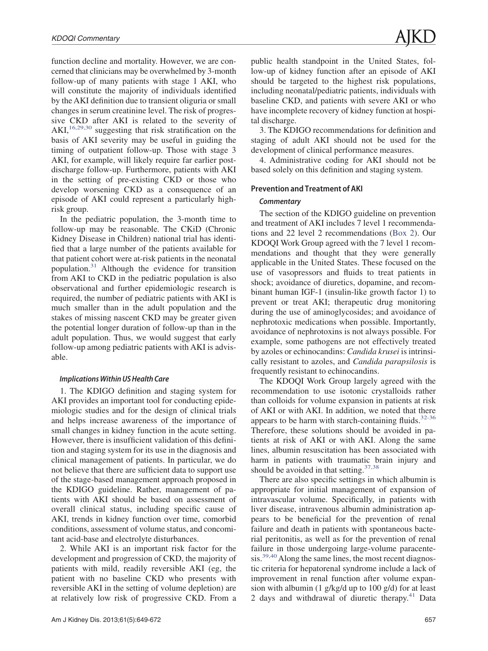function decline and mortality. However, we are concerned that clinicians may be overwhelmed by 3-month follow-up of many patients with stage 1 AKI, who will constitute the majority of individuals identified by the AKI definition due to transient oliguria or small changes in serum creatinine level. The risk of progressive CKD after AKI is related to the severity of  $AKI, <sup>16,29,30</sup>$  $AKI, <sup>16,29,30</sup>$  $AKI, <sup>16,29,30</sup>$  suggesting that risk stratification on the basis of AKI severity may be useful in guiding the timing of outpatient follow-up. Those with stage 3 AKI, for example, will likely require far earlier postdischarge follow-up. Furthermore, patients with AKI in the setting of pre-existing CKD or those who develop worsening CKD as a consequence of an episode of AKI could represent a particularly highrisk group.

In the pediatric population, the 3-month time to follow-up may be reasonable. The CKiD (Chronic Kidney Disease in Children) national trial has identified that a large number of the patients available for that patient cohort were at-risk patients in the neonatal population[.31](#page-19-10) Although the evidence for transition from AKI to CKD in the pediatric population is also observational and further epidemiologic research is required, the number of pediatric patients with AKI is much smaller than in the adult population and the stakes of missing nascent CKD may be greater given the potential longer duration of follow-up than in the adult population. Thus, we would suggest that early follow-up among pediatric patients with AKI is advisable.

# **ImplicationsWithin US Health Care**

1. The KDIGO definition and staging system for AKI provides an important tool for conducting epidemiologic studies and for the design of clinical trials and helps increase awareness of the importance of small changes in kidney function in the acute setting. However, there is insufficient validation of this definition and staging system for its use in the diagnosis and clinical management of patients. In particular, we do not believe that there are sufficient data to support use of the stage-based management approach proposed in the KDIGO guideline. Rather, management of patients with AKI should be based on assessment of overall clinical status, including specific cause of AKI, trends in kidney function over time, comorbid conditions, assessment of volume status, and concomitant acid-base and electrolyte disturbances.

2. While AKI is an important risk factor for the development and progression of CKD, the majority of patients with mild, readily reversible AKI (eg, the patient with no baseline CKD who presents with reversible AKI in the setting of volume depletion) are at relatively low risk of progressive CKD. From a public health standpoint in the United States, follow-up of kidney function after an episode of AKI should be targeted to the highest risk populations, including neonatal/pediatric patients, individuals with baseline CKD, and patients with severe AKI or who have incomplete recovery of kidney function at hospital discharge.

3. The KDIGO recommendations for definition and staging of adult AKI should not be used for the development of clinical performance measures.

4. Administrative coding for AKI should not be based solely on this definition and staging system.

# **Prevention and Treatment of AKI**

## **Commentary**

The section of the KDIGO guideline on prevention and treatment of AKI includes 7 level 1 recommendations and 22 level 2 recommendations [\(Box 2\)](#page-9-0). Our KDOQI Work Group agreed with the 7 level 1 recommendations and thought that they were generally applicable in the United States. These focused on the use of vasopressors and fluids to treat patients in shock; avoidance of diuretics, dopamine, and recombinant human IGF-1 (insulin-like growth factor 1) to prevent or treat AKI; therapeutic drug monitoring during the use of aminoglycosides; and avoidance of nephrotoxic medications when possible. Importantly, avoidance of nephrotoxins is not always possible. For example, some pathogens are not effectively treated by azoles or echinocandins: *Candida krusei* is intrinsically resistant to azoles, and *Candida parapsilosis* is frequently resistant to echinocandins.

The KDOQI Work Group largely agreed with the recommendation to use isotonic crystalloids rather than colloids for volume expansion in patients at risk of AKI or with AKI. In addition, we noted that there appears to be harm with starch-containing fluids. $32-36$ Therefore, these solutions should be avoided in patients at risk of AKI or with AKI. Along the same lines, albumin resuscitation has been associated with harm in patients with traumatic brain injury and should be avoided in that setting. $37,38$ 

There are also specific settings in which albumin is appropriate for initial management of expansion of intravascular volume. Specifically, in patients with liver disease, intravenous albumin administration appears to be beneficial for the prevention of renal failure and death in patients with spontaneous bacterial peritonitis, as well as for the prevention of renal failure in those undergoing large-volume paracentesis.<sup>39,40</sup> Along the same lines, the most recent diagnostic criteria for hepatorenal syndrome include a lack of improvement in renal function after volume expansion with albumin (1 g/kg/d up to 100 g/d) for at least 2 days and withdrawal of diuretic therapy. $41$  Data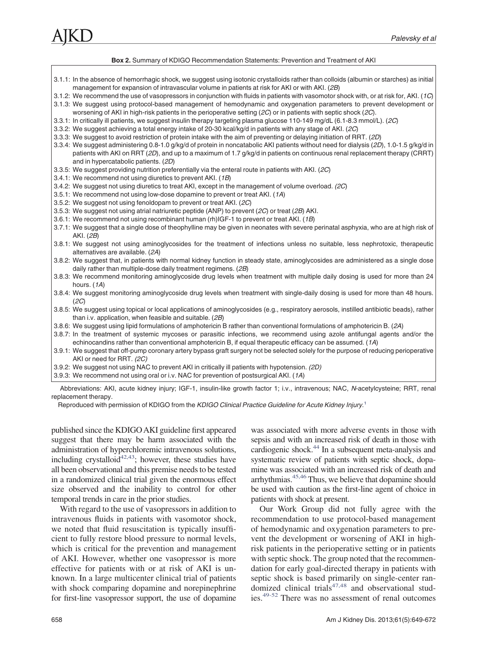#### <span id="page-9-0"></span>**Box 2.** Summary of KDIGO Recommendation Statements: Prevention and Treatment of AKI

- 3.1.1: In the absence of hemorrhagic shock, we suggest using isotonic crystalloids rather than colloids (albumin or starches) as initial management for expansion of intravascular volume in patients at risk for AKI or with AKI. (*2B*)
- 3.1.2: We recommend the use of vasopressors in conjunction with fluids in patients with vasomotor shock with, or at risk for, AKI. (*1C*)
- 3.1.3: We suggest using protocol-based management of hemodynamic and oxygenation parameters to prevent development or
- worsening of AKI in high-risk patients in the perioperative setting (*2C*) or in patients with septic shock (*2C*).
- 3.3.1: In critically ill patients, we suggest insulin therapy targeting plasma glucose 110-149 mg/dL (6.1-8.3 mmol/L). (*2C*)
- 3.3.2: We suggest achieving a total energy intake of 20-30 kcal/kg/d in patients with any stage of AKI. (*2C*) 3.3.3: We suggest to avoid restriction of protein intake with the aim of preventing or delaying initiation of RRT. (*2D*)
- 3.3.4: We suggest administering 0.8-1.0 g/kg/d of protein in noncatabolic AKI patients without need for dialysis (*2D*), 1.0-1.5 g/kg/d in patients with AKI on RRT (2D), and up to a maximum of 1.7 g/kg/d in patients on continuous renal replacement therapy (CRRT) and in hypercatabolic patients. (*2D*)
- 3.3.5: We suggest providing nutrition preferentially via the enteral route in patients with AKI. (*2C*)
- 3.4.1: We recommend not using diuretics to prevent AKI. (*1B*)
- 3.4.2: We suggest not using diuretics to treat AKI, except in the management of volume overload. *(2C*)
- 3.5.1: We recommend not using low-dose dopamine to prevent or treat AKI. (*1A*)
- 3.5.2: We suggest not using fenoldopam to prevent or treat AKI. (*2C*)
- 3.5.3: We suggest not using atrial natriuretic peptide (ANP) to prevent (*2C*) or treat (*2B*) AKI.
- 3.6.1: We recommend not using recombinant human (rh)IGF-1 to prevent or treat AKI. (*1B*)
- 3.7.1: We suggest that a single dose of theophylline may be given in neonates with severe perinatal asphyxia, who are at high risk of AKI. (*2B*)
- 3.8.1: We suggest not using aminoglycosides for the treatment of infections unless no suitable, less nephrotoxic, therapeutic alternatives are available. (*2A*)
- 3.8.2: We suggest that, in patients with normal kidney function in steady state, aminoglycosides are administered as a single dose daily rather than multiple-dose daily treatment regimens. (*2B*)
- 3.8.3: We recommend monitoring aminoglycoside drug levels when treatment with multiple daily dosing is used for more than 24 hours. (*1A*)
- 3.8.4: We suggest monitoring aminoglycoside drug levels when treatment with single-daily dosing is used for more than 48 hours. (*2C*)
- 3.8.5: We suggest using topical or local applications of aminoglycosides (e.g., respiratory aerosols, instilled antibiotic beads), rather than i.v. application, when feasible and suitable. (*2B*)
- 3.8.6: We suggest using lipid formulations of amphotericin B rather than conventional formulations of amphotericin B. (*2A*)
- 3.8.7: In the treatment of systemic mycoses or parasitic infections, we recommend using azole antifungal agents and/or the echinocandins rather than conventional amphotericin B, if equal therapeutic efficacy can be assumed. (*1A*)
- 3.9.1: We suggest that off-pump coronary artery bypass graft surgery not be selected solely for the purpose of reducing perioperative AKI or need for RRT. *(2C)*
- 3.9.2: We suggest not using NAC to prevent AKI in critically ill patients with hypotension. *(2D)*
- 3.9.3: We recommend not using oral or i.v. NAC for prevention of postsurgical AKI. (*1A*)

Abbreviations: AKI, acute kidney injury; IGF-1, insulin-like growth factor 1; i.v., intravenous; NAC, *N*-acetylcysteine; RRT, renal replacement therapy.

Reproduced with permission of KDIGO from the *KDIGO Clinical Practice Guideline for Acute Kidney Injury*. [1](#page-18-0)

published since the KDIGOAKI guideline first appeared suggest that there may be harm associated with the administration of hyperchloremic intravenous solutions, including crystalloid<sup>42,43</sup>; however, these studies have all been observational and this premise needs to be tested in a randomized clinical trial given the enormous effect size observed and the inability to control for other temporal trends in care in the prior studies.

With regard to the use of vasopressors in addition to intravenous fluids in patients with vasomotor shock, we noted that fluid resuscitation is typically insufficient to fully restore blood pressure to normal levels, which is critical for the prevention and management of AKI. However, whether one vasopressor is more effective for patients with or at risk of AKI is unknown. In a large multicenter clinical trial of patients with shock comparing dopamine and norepinephrine for first-line vasopressor support, the use of dopamine was associated with more adverse events in those with sepsis and with an increased risk of death in those with cardiogenic shock.<sup>44</sup> In a subsequent meta-analysis and systematic review of patients with septic shock, dopamine was associated with an increased risk of death and arrhythmias.<sup>45,46</sup> Thus, we believe that dopamine should be used with caution as the first-line agent of choice in patients with shock at present.

Our Work Group did not fully agree with the recommendation to use protocol-based management of hemodynamic and oxygenation parameters to prevent the development or worsening of AKI in highrisk patients in the perioperative setting or in patients with septic shock. The group noted that the recommendation for early goal-directed therapy in patients with septic shock is based primarily on single-center randomized clinical trials $47,48$  and observational studies.[49-52](#page-20-0) There was no assessment of renal outcomes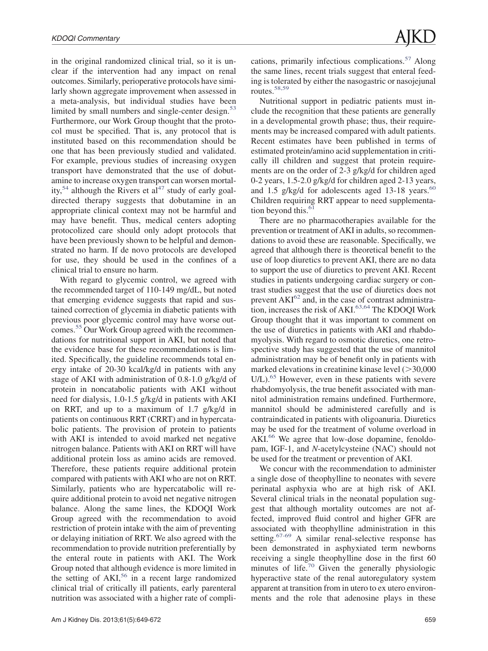in the original randomized clinical trial, so it is unclear if the intervention had any impact on renal outcomes. Similarly, perioperative protocols have similarly shown aggregate improvement when assessed in a meta-analysis, but individual studies have been limited by small numbers and single-center design. $53$ Furthermore, our Work Group thought that the protocol must be specified. That is, any protocol that is instituted based on this recommendation should be one that has been previously studied and validated. For example, previous studies of increasing oxygen transport have demonstrated that the use of dobutamine to increase oxygen transport can worsen mortal-ity,<sup>[54](#page-20-2)</sup> although the Rivers et  $aI<sup>47</sup>$  study of early goaldirected therapy suggests that dobutamine in an appropriate clinical context may not be harmful and may have benefit. Thus, medical centers adopting protocolized care should only adopt protocols that have been previously shown to be helpful and demonstrated no harm. If de novo protocols are developed for use, they should be used in the confines of a clinical trial to ensure no harm.

With regard to glycemic control, we agreed with the recommended target of 110-149 mg/dL, but noted that emerging evidence suggests that rapid and sustained correction of glycemia in diabetic patients with previous poor glycemic control may have worse outcomes[.55](#page-20-3) Our Work Group agreed with the recommendations for nutritional support in AKI, but noted that the evidence base for these recommendations is limited. Specifically, the guideline recommends total energy intake of 20-30 kcal/kg/d in patients with any stage of AKI with administration of 0.8-1.0 g/kg/d of protein in noncatabolic patients with AKI without need for dialysis, 1.0-1.5 g/kg/d in patients with AKI on RRT, and up to a maximum of 1.7 g/kg/d in patients on continuous RRT (CRRT) and in hypercatabolic patients. The provision of protein to patients with AKI is intended to avoid marked net negative nitrogen balance. Patients with AKI on RRT will have additional protein loss as amino acids are removed. Therefore, these patients require additional protein compared with patients with AKI who are not on RRT. Similarly, patients who are hypercatabolic will require additional protein to avoid net negative nitrogen balance. Along the same lines, the KDOQI Work Group agreed with the recommendation to avoid restriction of protein intake with the aim of preventing or delaying initiation of RRT. We also agreed with the recommendation to provide nutrition preferentially by the enteral route in patients with AKI. The Work Group noted that although evidence is more limited in the setting of  $AKI<sub>1</sub><sup>56</sup>$  in a recent large randomized clinical trial of critically ill patients, early parenteral nutrition was associated with a higher rate of complications, primarily infectious complications[.57](#page-20-5) Along the same lines, recent trials suggest that enteral feeding is tolerated by either the nasogastric or nasojejunal routes.[58,59](#page-20-6)

Nutritional support in pediatric patients must include the recognition that these patients are generally in a developmental growth phase; thus, their requirements may be increased compared with adult patients. Recent estimates have been published in terms of estimated protein/amino acid supplementation in critically ill children and suggest that protein requirements are on the order of 2-3 g/kg/d for children aged 0-2 years, 1.5-2.0 g/kg/d for children aged 2-13 years, and 1.5 g/kg/d for adolescents aged 13-18 years. $60$ Children requiring RRT appear to need supplementation beyond this. $61$ 

There are no pharmacotherapies available for the prevention or treatment of AKI in adults, so recommendations to avoid these are reasonable. Specifically, we agreed that although there is theoretical benefit to the use of loop diuretics to prevent AKI, there are no data to support the use of diuretics to prevent AKI. Recent studies in patients undergoing cardiac surgery or contrast studies suggest that the use of diuretics does not prevent  $AKI^{62}$  $AKI^{62}$  $AKI^{62}$  and, in the case of contrast administration, increases the risk of AKI.<sup>63,64</sup> The KDOQI Work Group thought that it was important to comment on the use of diuretics in patients with AKI and rhabdomyolysis. With regard to osmotic diuretics, one retrospective study has suggested that the use of mannitol administration may be of benefit only in patients with marked elevations in creatinine kinase level  $(>30,000$  $U/L$ ).<sup>[65](#page-20-11)</sup> However, even in these patients with severe rhabdomyolysis, the true benefit associated with mannitol administration remains undefined. Furthermore, mannitol should be administered carefully and is contraindicated in patients with oligoanuria. Diuretics may be used for the treatment of volume overload in AKI.<sup>[66](#page-20-12)</sup> We agree that low-dose dopamine, fenoldopam, IGF-1, and *N*-acetylcysteine (NAC) should not be used for the treatment or prevention of AKI.

We concur with the recommendation to administer a single dose of theophylline to neonates with severe perinatal asphyxia who are at high risk of AKI. Several clinical trials in the neonatal population suggest that although mortality outcomes are not affected, improved fluid control and higher GFR are associated with theophylline administration in this setting.<sup>[67-69](#page-20-13)</sup> A similar renal-selective response has been demonstrated in asphyxiated term newborns receiving a single theophylline dose in the first 60 minutes of life.<sup>[70](#page-20-14)</sup> Given the generally physiologic hyperactive state of the renal autoregulatory system apparent at transition from in utero to ex utero environments and the role that adenosine plays in these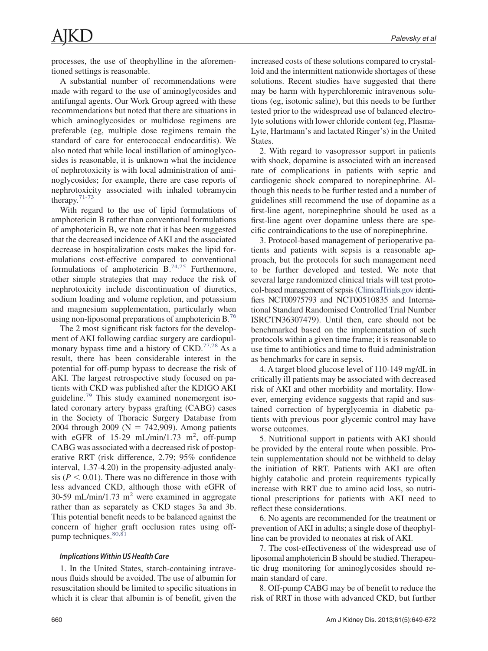# IK D

processes, the use of theophylline in the aforementioned settings is reasonable.

A substantial number of recommendations were made with regard to the use of aminoglycosides and antifungal agents. Our Work Group agreed with these recommendations but noted that there are situations in which aminoglycosides or multidose regimens are preferable (eg, multiple dose regimens remain the standard of care for enterococcal endocarditis). We also noted that while local instillation of aminoglycosides is reasonable, it is unknown what the incidence of nephrotoxicity is with local administration of aminoglycosides; for example, there are case reports of nephrotoxicity associated with inhaled tobramycin therapy. $71-73$ 

With regard to the use of lipid formulations of amphotericin B rather than conventional formulations of amphotericin B, we note that it has been suggested that the decreased incidence of AKI and the associated decrease in hospitalization costs makes the lipid formulations cost-effective compared to conventional formulations of amphotericin  $B^{74,75}$  $B^{74,75}$  $B^{74,75}$  Furthermore, other simple strategies that may reduce the risk of nephrotoxicity include discontinuation of diuretics, sodium loading and volume repletion, and potassium and magnesium supplementation, particularly when using non-liposomal preparations of amphotericin B.<sup>76</sup>

The 2 most significant risk factors for the development of AKI following cardiac surgery are cardiopulmonary bypass time and a history of  $CKD$ .<sup>[77,78](#page-20-18)</sup> As a result, there has been considerable interest in the potential for off-pump bypass to decrease the risk of AKI. The largest retrospective study focused on patients with CKD was published after the KDIGO AKI guideline.[79](#page-20-19) This study examined nonemergent isolated coronary artery bypass grafting (CABG) cases in the Society of Thoracic Surgery Database from 2004 through 2009 ( $N = 742,909$ ). Among patients with eGFR of  $15-29$  mL/min/1.73 m<sup>2</sup>, off-pump CABG was associated with a decreased risk of postoperative RRT (risk difference, 2.79; 95% confidence interval, 1.37-4.20) in the propensity-adjusted analysis  $(P < 0.01)$ . There was no difference in those with less advanced CKD, although those with eGFR of 30-59 mL/min/1.73 m<sup>2</sup> were examined in aggregate rather than as separately as CKD stages 3a and 3b. This potential benefit needs to be balanced against the concern of higher graft occlusion rates using off-pump techniques. [80,81](#page-20-20)

# **ImplicationsWithin US Health Care**

1. In the United States, starch-containing intravenous fluids should be avoided. The use of albumin for resuscitation should be limited to specific situations in which it is clear that albumin is of benefit, given the increased costs of these solutions compared to crystalloid and the intermittent nationwide shortages of these solutions. Recent studies have suggested that there may be harm with hyperchloremic intravenous solutions (eg, isotonic saline), but this needs to be further tested prior to the widespread use of balanced electrolyte solutions with lower chloride content (eg, Plasma-Lyte, Hartmann's and lactated Ringer's) in the United States.

2. With regard to vasopressor support in patients with shock, dopamine is associated with an increased rate of complications in patients with septic and cardiogenic shock compared to norepinephrine. Although this needs to be further tested and a number of guidelines still recommend the use of dopamine as a first-line agent, norepinephrine should be used as a first-line agent over dopamine unless there are specific contraindications to the use of norepinephrine.

3. Protocol-based management of perioperative patients and patients with sepsis is a reasonable approach, but the protocols for such management need to be further developed and tested. We note that several large randomized clinical trials will test protocol-based management of sepsis [\(ClinicalTrials.gov](http://www.clinicaltrials.gov) identifiers NCT00975793 and NCT00510835 and International Standard Randomised Controlled Trial Number ISRCTN36307479). Until then, care should not be benchmarked based on the implementation of such protocols within a given time frame; it is reasonable to use time to antibiotics and time to fluid administration as benchmarks for care in sepsis.

4. A target blood glucose level of 110-149 mg/dL in critically ill patients may be associated with decreased risk of AKI and other morbidity and mortality. However, emerging evidence suggests that rapid and sustained correction of hyperglycemia in diabetic patients with previous poor glycemic control may have worse outcomes.

5. Nutritional support in patients with AKI should be provided by the enteral route when possible. Protein supplementation should not be withheld to delay the initiation of RRT. Patients with AKI are often highly catabolic and protein requirements typically increase with RRT due to amino acid loss, so nutritional prescriptions for patients with AKI need to reflect these considerations.

6. No agents are recommended for the treatment or prevention of AKI in adults; a single dose of theophylline can be provided to neonates at risk of AKI.

7. The cost-effectiveness of the widespread use of liposomal amphotericin B should be studied. Therapeutic drug monitoring for aminoglycosides should remain standard of care.

8. Off-pump CABG may be of benefit to reduce the risk of RRT in those with advanced CKD, but further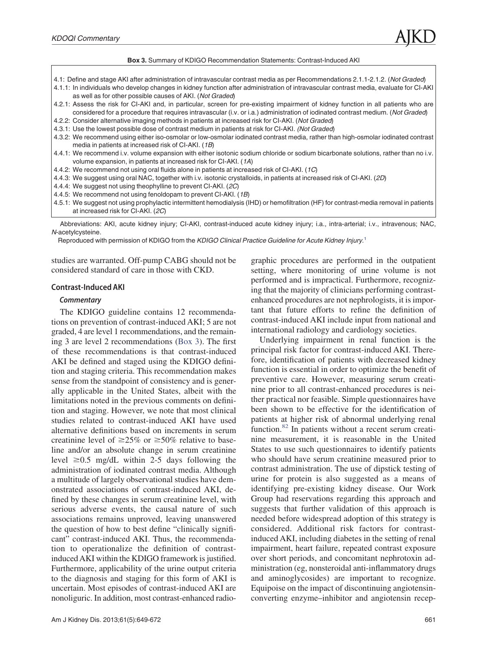- <span id="page-12-0"></span>4.1: Define and stage AKI after administration of intravascular contrast media as per Recommendations 2.1.1-2.1.2. (*Not Graded*)
- 4.1.1: In individuals who develop changes in kidney function after administration of intravascular contrast media, evaluate for CI-AKI as well as for other possible causes of AKI. (*Not Graded*)
- 4.2.1: Assess the risk for CI-AKI and, in particular, screen for pre-existing impairment of kidney function in all patients who are considered for a procedure that requires intravascular (i.v. or i.a.) administration of iodinated contrast medium. (*Not Graded*)
- 4.2.2: Consider alternative imaging methods in patients at increased risk for CI-AKI. (*Not Graded*) 4.3.1: Use the lowest possible dose of contrast medium in patients at risk for CI-AKI. *(Not Graded*)
- 4.3.2: We recommend using either iso-osmolar or low-osmolar iodinated contrast media, rather than high-osmolar iodinated contrast media in patients at increased risk of CI-AKI. (*1B*)
- 4.4.1: We recommend i.v. volume expansion with either isotonic sodium chloride or sodium bicarbonate solutions, rather than no i.v. volume expansion, in patients at increased risk for CI-AKI. (*1A*)
- 4.4.2: We recommend not using oral fluids alone in patients at increased risk of CI-AKI. (*1C*)
- 4.4.3: We suggest using oral NAC, together with i.v. isotonic crystalloids, in patients at increased risk of CI-AKI. (*2D*)
- 4.4.4: We suggest not using theophylline to prevent CI-AKI. (*2C*)
- 4.4.5: We recommend not using fenoldopam to prevent CI-AKI. (*1B*)
- 4.5.1: We suggest not using prophylactic intermittent hemodialysis (IHD) or hemofiltration (HF) for contrast-media removal in patients at increased risk for CI-AKI. (*2C*)

Abbreviations: AKI, acute kidney injury; CI-AKI, contrast-induced acute kidney injury; i.a., intra-arterial; i.v., intravenous; NAC, *N*-acetylcysteine.

Reproduced with permission of KDIGO from the *KDIGO Clinical Practice Guideline for Acute Kidney Injury*. [1](#page-18-0)

studies are warranted. Off-pump CABG should not be considered standard of care in those with CKD.

# **Contrast-Induced AKI**

#### **Commentary**

The KDIGO guideline contains 12 recommendations on prevention of contrast-induced AKI; 5 are not graded, 4 are level 1 recommendations, and the remaining 3 are level 2 recommendations [\(Box 3\)](#page-12-0). The first of these recommendations is that contrast-induced AKI be defined and staged using the KDIGO definition and staging criteria. This recommendation makes sense from the standpoint of consistency and is generally applicable in the United States, albeit with the limitations noted in the previous comments on definition and staging. However, we note that most clinical studies related to contrast-induced AKI have used alternative definitions based on increments in serum creatinine level of  $\geq 25\%$  or  $\geq 50\%$  relative to baseline and/or an absolute change in serum creatinine level  $\geq 0.5$  mg/dL within 2-5 days following the administration of iodinated contrast media. Although a multitude of largely observational studies have demonstrated associations of contrast-induced AKI, defined by these changes in serum creatinine level, with serious adverse events, the causal nature of such associations remains unproved, leaving unanswered the question of how to best define "clinically significant" contrast-induced AKI. Thus, the recommendation to operationalize the definition of contrastinduced AKI within the KDIGO framework is justified. Furthermore, applicability of the urine output criteria to the diagnosis and staging for this form of AKI is uncertain. Most episodes of contrast-induced AKI are nonoliguric. In addition, most contrast-enhanced radiographic procedures are performed in the outpatient setting, where monitoring of urine volume is not performed and is impractical. Furthermore, recognizing that the majority of clinicians performing contrastenhanced procedures are not nephrologists, it is important that future efforts to refine the definition of contrast-induced AKI include input from national and international radiology and cardiology societies.

Underlying impairment in renal function is the principal risk factor for contrast-induced AKI. Therefore, identification of patients with decreased kidney function is essential in order to optimize the benefit of preventive care. However, measuring serum creatinine prior to all contrast-enhanced procedures is neither practical nor feasible. Simple questionnaires have been shown to be effective for the identification of patients at higher risk of abnormal underlying renal function.[82](#page-20-21) In patients without a recent serum creatinine measurement, it is reasonable in the United States to use such questionnaires to identify patients who should have serum creatinine measured prior to contrast administration. The use of dipstick testing of urine for protein is also suggested as a means of identifying pre-existing kidney disease. Our Work Group had reservations regarding this approach and suggests that further validation of this approach is needed before widespread adoption of this strategy is considered. Additional risk factors for contrastinduced AKI, including diabetes in the setting of renal impairment, heart failure, repeated contrast exposure over short periods, and concomitant nephrotoxin administration (eg, nonsteroidal anti-inflammatory drugs and aminoglycosides) are important to recognize. Equipoise on the impact of discontinuing angiotensinconverting enzyme–inhibitor and angiotensin recep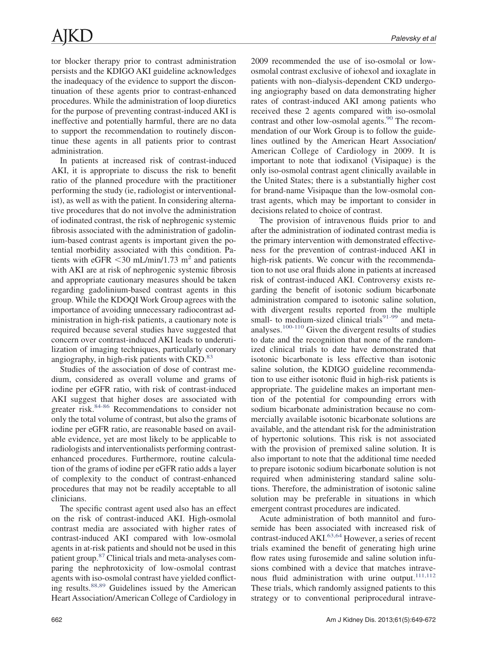tor blocker therapy prior to contrast administration persists and the KDIGO AKI guideline acknowledges the inadequacy of the evidence to support the discontinuation of these agents prior to contrast-enhanced procedures. While the administration of loop diuretics for the purpose of preventing contrast-induced AKI is ineffective and potentially harmful, there are no data to support the recommendation to routinely discontinue these agents in all patients prior to contrast administration.

In patients at increased risk of contrast-induced AKI, it is appropriate to discuss the risk to benefit ratio of the planned procedure with the practitioner performing the study (ie, radiologist or interventionalist), as well as with the patient. In considering alternative procedures that do not involve the administration of iodinated contrast, the risk of nephrogenic systemic fibrosis associated with the administration of gadolinium-based contrast agents is important given the potential morbidity associated with this condition. Patients with eGFR  $\leq$ 30 mL/min/1.73 m<sup>2</sup> and patients with AKI are at risk of nephrogenic systemic fibrosis and appropriate cautionary measures should be taken regarding gadolinium-based contrast agents in this group. While the KDOQI Work Group agrees with the importance of avoiding unnecessary radiocontrast administration in high-risk patients, a cautionary note is required because several studies have suggested that concern over contrast-induced AKI leads to underutilization of imaging techniques, particularly coronary angiography, in high-risk patients with CKD.<sup>[83](#page-20-22)</sup>

Studies of the association of dose of contrast medium, considered as overall volume and grams of iodine per eGFR ratio, with risk of contrast-induced AKI suggest that higher doses are associated with greater risk.<sup>84-86</sup> Recommendations to consider not only the total volume of contrast, but also the grams of iodine per eGFR ratio, are reasonable based on available evidence, yet are most likely to be applicable to radiologists and interventionalists performing contrastenhanced procedures. Furthermore, routine calculation of the grams of iodine per eGFR ratio adds a layer of complexity to the conduct of contrast-enhanced procedures that may not be readily acceptable to all clinicians.

The specific contrast agent used also has an effect on the risk of contrast-induced AKI. High-osmolal contrast media are associated with higher rates of contrast-induced AKI compared with low-osmolal agents in at-risk patients and should not be used in this patient group[.87](#page-21-0) Clinical trials and meta-analyses comparing the nephrotoxicity of low-osmolal contrast agents with iso-osmolal contrast have yielded conflicting results.[88,89](#page-21-1) Guidelines issued by the American Heart Association/American College of Cardiology in 2009 recommended the use of iso-osmolal or lowosmolal contrast exclusive of iohexol and ioxaglate in patients with non–dialysis-dependent CKD undergoing angiography based on data demonstrating higher rates of contrast-induced AKI among patients who received these 2 agents compared with iso-osmolal contrast and other low-osmolal agents.<sup>[90](#page-21-2)</sup> The recommendation of our Work Group is to follow the guidelines outlined by the American Heart Association/ American College of Cardiology in 2009. It is important to note that iodixanol (Visipaque) is the only iso-osmolal contrast agent clinically available in the United States; there is a substantially higher cost for brand-name Visipaque than the low-osmolal contrast agents, which may be important to consider in decisions related to choice of contrast.

The provision of intravenous fluids prior to and after the administration of iodinated contrast media is the primary intervention with demonstrated effectiveness for the prevention of contrast-induced AKI in high-risk patients. We concur with the recommendation to not use oral fluids alone in patients at increased risk of contrast-induced AKI. Controversy exists regarding the benefit of isotonic sodium bicarbonate administration compared to isotonic saline solution, with divergent results reported from the multiple small- to medium-sized clinical trials<sup>91-99</sup> and metaanalyses[.100-110](#page-21-4) Given the divergent results of studies to date and the recognition that none of the randomized clinical trials to date have demonstrated that isotonic bicarbonate is less effective than isotonic saline solution, the KDIGO guideline recommendation to use either isotonic fluid in high-risk patients is appropriate. The guideline makes an important mention of the potential for compounding errors with sodium bicarbonate administration because no commercially available isotonic bicarbonate solutions are available, and the attendant risk for the administration of hypertonic solutions. This risk is not associated with the provision of premixed saline solution. It is also important to note that the additional time needed to prepare isotonic sodium bicarbonate solution is not required when administering standard saline solutions. Therefore, the administration of isotonic saline solution may be preferable in situations in which emergent contrast procedures are indicated.

Acute administration of both mannitol and furosemide has been associated with increased risk of contrast-induced AKI.[63,64](#page-20-10) However, a series of recent trials examined the benefit of generating high urine flow rates using furosemide and saline solution infusions combined with a device that matches intravenous fluid administration with urine output. $111,112$ These trials, which randomly assigned patients to this strategy or to conventional periprocedural intrave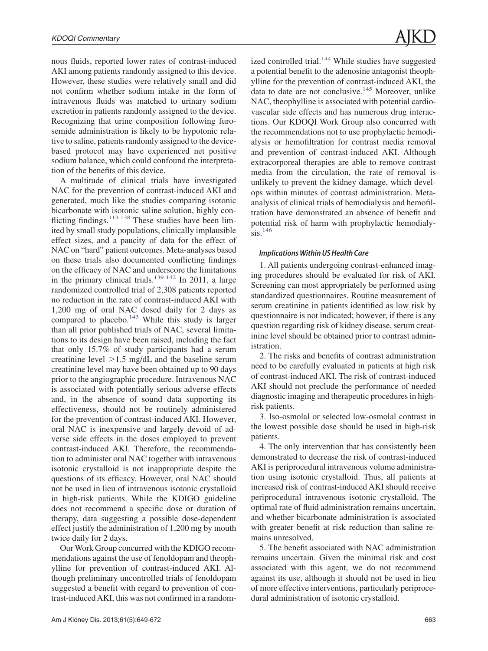nous fluids, reported lower rates of contrast-induced AKI among patients randomly assigned to this device. However, these studies were relatively small and did not confirm whether sodium intake in the form of intravenous fluids was matched to urinary sodium excretion in patients randomly assigned to the device. Recognizing that urine composition following furosemide administration is likely to be hypotonic relative to saline, patients randomly assigned to the devicebased protocol may have experienced net positive sodium balance, which could confound the interpretation of the benefits of this device.

A multitude of clinical trials have investigated NAC for the prevention of contrast-induced AKI and generated, much like the studies comparing isotonic bicarbonate with isotonic saline solution, highly conflicting findings. $113-138$  These studies have been limited by small study populations, clinically implausible effect sizes, and a paucity of data for the effect of NAC on "hard" patient outcomes. Meta-analyses based on these trials also documented conflicting findings on the efficacy of NAC and underscore the limitations in the primary clinical trials.<sup>139-142</sup> In 2011, a large randomized controlled trial of 2,308 patients reported no reduction in the rate of contrast-induced AKI with 1,200 mg of oral NAC dosed daily for 2 days as compared to placebo.<sup>[143](#page-22-1)</sup> While this study is larger than all prior published trials of NAC, several limitations to its design have been raised, including the fact that only 15.7% of study participants had a serum creatinine level  $>1.5$  mg/dL and the baseline serum creatinine level may have been obtained up to 90 days prior to the angiographic procedure. Intravenous NAC is associated with potentially serious adverse effects and, in the absence of sound data supporting its effectiveness, should not be routinely administered for the prevention of contrast-induced AKI. However, oral NAC is inexpensive and largely devoid of adverse side effects in the doses employed to prevent contrast-induced AKI. Therefore, the recommendation to administer oral NAC together with intravenous isotonic crystalloid is not inappropriate despite the questions of its efficacy. However, oral NAC should not be used in lieu of intravenous isotonic crystalloid in high-risk patients. While the KDIGO guideline does not recommend a specific dose or duration of therapy, data suggesting a possible dose-dependent effect justify the administration of 1,200 mg by mouth twice daily for 2 days.

Our Work Group concurred with the KDIGO recommendations against the use of fenoldopam and theophylline for prevention of contrast-induced AKI. Although preliminary uncontrolled trials of fenoldopam suggested a benefit with regard to prevention of contrast-induced AKI, this was not confirmed in a randomized controlled trial.<sup>[144](#page-22-2)</sup> While studies have suggested a potential benefit to the adenosine antagonist theophylline for the prevention of contrast-induced AKI, the data to date are not conclusive[.145](#page-22-3) Moreover, unlike NAC, theophylline is associated with potential cardiovascular side effects and has numerous drug interactions. Our KDOQI Work Group also concurred with the recommendations not to use prophylactic hemodialysis or hemofiltration for contrast media removal and prevention of contrast-induced AKI. Although extracorporeal therapies are able to remove contrast media from the circulation, the rate of removal is unlikely to prevent the kidney damage, which develops within minutes of contrast administration. Metaanalysis of clinical trials of hemodialysis and hemofiltration have demonstrated an absence of benefit and potential risk of harm with prophylactic hemodialy- $\sin^{146}$ 

## **ImplicationsWithin US Health Care**

1. All patients undergoing contrast-enhanced imaging procedures should be evaluated for risk of AKI. Screening can most appropriately be performed using standardized questionnaires. Routine measurement of serum creatinine in patients identified as low risk by questionnaire is not indicated; however, if there is any question regarding risk of kidney disease, serum creatinine level should be obtained prior to contrast administration.

2. The risks and benefits of contrast administration need to be carefully evaluated in patients at high risk of contrast-induced AKI. The risk of contrast-induced AKI should not preclude the performance of needed diagnostic imaging and therapeutic procedures in highrisk patients.

3. Iso-osmolal or selected low-osmolal contrast in the lowest possible dose should be used in high-risk patients.

4. The only intervention that has consistently been demonstrated to decrease the risk of contrast-induced AKI is periprocedural intravenous volume administration using isotonic crystalloid. Thus, all patients at increased risk of contrast-induced AKI should receive periprocedural intravenous isotonic crystalloid. The optimal rate of fluid administration remains uncertain, and whether bicarbonate administration is associated with greater benefit at risk reduction than saline remains unresolved.

5. The benefit associated with NAC administration remains uncertain. Given the minimal risk and cost associated with this agent, we do not recommend against its use, although it should not be used in lieu of more effective interventions, particularly periprocedural administration of isotonic crystalloid.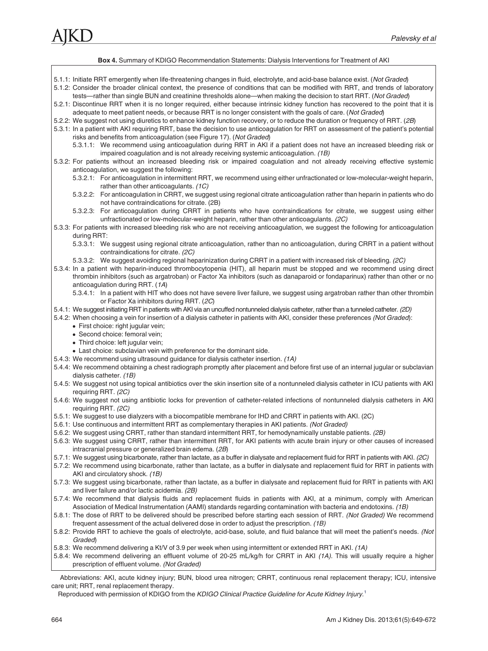#### **Box 4.** Summary of KDIGO Recommendation Statements: Dialysis Interventions for Treatment of AKI

- 5.1.1: Initiate RRT emergently when life-threatening changes in fluid, electrolyte, and acid-base balance exist. (*Not Graded*)
- 5.1.2: Consider the broader clinical context, the presence of conditions that can be modified with RRT, and trends of laboratory
- tests—rather than single BUN and creatinine thresholds alone—when making the decision to start RRT. (*Not Graded*) 5.2.1: Discontinue RRT when it is no longer required, either because intrinsic kidney function has recovered to the point that it is
- adequate to meet patient needs, or because RRT is no longer consistent with the goals of care. (*Not Graded*)
- 5.2.2: We suggest not using diuretics to enhance kidney function recovery, or to reduce the duration or frequency of RRT. (*2B*)
- 5.3.1: In a patient with AKI requiring RRT, base the decision to use anticoagulation for RRT on assessment of the patient's potential risks and benefits from anticoagulation (see Figure 17). (*Not Graded*)
	- 5.3.1.1: We recommend using anticoagulation during RRT in AKI if a patient does not have an increased bleeding risk or impaired coagulation and is not already receiving systemic anticoagulation. *(1B)*
- 5.3.2: For patients without an increased bleeding risk or impaired coagulation and not already receiving effective systemic anticoagulation, we suggest the following:
	- 5.3.2.1: For anticoagulation in intermittent RRT, we recommend using either unfractionated or low-molecular-weight heparin, rather than other anticoagulants. *(1C)*
	- 5.3.2.2: For anticoagulation in CRRT, we suggest using regional citrate anticoagulation rather than heparin in patients who do not have contraindications for citrate. (2B)
	- 5.3.2.3: For anticoagulation during CRRT in patients who have contraindications for citrate, we suggest using either unfractionated or low-molecular-weight heparin, rather than other anticoagulants. *(2C)*
- 5.3.3: For patients with increased bleeding risk who are not receiving anticoagulation, we suggest the following for anticoagulation during RRT:
	- 5.3.3.1: We suggest using regional citrate anticoagulation, rather than no anticoagulation, during CRRT in a patient without contraindications for citrate. *(2C)*
	- 5.3.3.2: We suggest avoiding regional heparinization during CRRT in a patient with increased risk of bleeding. *(2C)*
- 5.3.4: In a patient with heparin-induced thrombocytopenia (HIT), all heparin must be stopped and we recommend using direct thrombin inhibitors (such as argatroban) or Factor Xa inhibitors (such as danaparoid or fondaparinux) rather than other or no anticoagulation during RRT. (*1A*)
	- 5.3.4.1: In a patient with HIT who does not have severe liver failure, we suggest using argatroban rather than other thrombin or Factor Xa inhibitors during RRT. (*2C*)
- 5.4.1: We suggest initiating RRT in patients with AKI via an uncuffed nontunneled dialysis catheter, rather than a tunneled catheter.*(2D)*
- 5.4.2: When choosing a vein for insertion of a dialysis catheter in patients with AKI, consider these preferences *(Not Graded*):
	- First choice: right jugular vein;
	- Second choice: femoral vein;
	- Third choice: left jugular vein;
	- Last choice: subclavian vein with preference for the dominant side.
- 5.4.3: We recommend using ultrasound guidance for dialysis catheter insertion. *(1A)*
- 5.4.4: We recommend obtaining a chest radiograph promptly after placement and before first use of an internal jugular or subclavian dialysis catheter. *(1B)*
- 5.4.5: We suggest not using topical antibiotics over the skin insertion site of a nontunneled dialysis catheter in ICU patients with AKI requiring RRT. *(2C)*
- 5.4.6: We suggest not using antibiotic locks for prevention of catheter-related infections of nontunneled dialysis catheters in AKI requiring RRT. *(2C)*
- 5.5.1: We suggest to use dialyzers with a biocompatible membrane for IHD and CRRT in patients with AKI. (2C)
- 5.6.1: Use continuous and intermittent RRT as complementary therapies in AKI patients. *(Not Graded)*
- 5.6.2: We suggest using CRRT, rather than standard intermittent RRT, for hemodynamically unstable patients. *(2B)*
- 5.6.3: We suggest using CRRT, rather than intermittent RRT, for AKI patients with acute brain injury or other causes of increased intracranial pressure or generalized brain edema. (*2B*)
- 5.7.1: We suggest using bicarbonate, rather than lactate, as a buffer in dialysate and replacement fluid for RRT in patients with AKI. *(2C)*
- 5.7.2: We recommend using bicarbonate, rather than lactate, as a buffer in dialysate and replacement fluid for RRT in patients with AKI and circulatory shock. *(1B)*
- 5.7.3: We suggest using bicarbonate, rather than lactate, as a buffer in dialysate and replacement fluid for RRT in patients with AKI and liver failure and/or lactic acidemia. *(2B)*
- 5.7.4: We recommend that dialysis fluids and replacement fluids in patients with AKI, at a minimum, comply with American Association of Medical Instrumentation (AAMI) standards regarding contamination with bacteria and endotoxins. *(1B)*
- 5.8.1: The dose of RRT to be delivered should be prescribed before starting each session of RRT. *(Not Graded)* We recommend frequent assessment of the actual delivered dose in order to adjust the prescription. *(1B)*
- 5.8.2: Provide RRT to achieve the goals of electrolyte, acid-base, solute, and fluid balance that will meet the patient's needs. *(Not Graded*)
- 5.8.3: We recommend delivering a Kt/V of 3.9 per week when using intermittent or extended RRT in AKI. *(1A)*
- 5.8.4: We recommend delivering an effluent volume of 20-25 mL/kg/h for CRRT in AKI *(1A).* This will usually require a higher prescription of effluent volume. *(Not Graded)*

Abbreviations: AKI, acute kidney injury; BUN, blood urea nitrogen; CRRT, continuous renal replacement therapy; ICU, intensive care unit; RRT, renal replacement therapy.

Reproduced with permission of KDIGO from the *KDIGO Clinical Practice Guideline for Acute Kidney Injury*. [1](#page-18-0)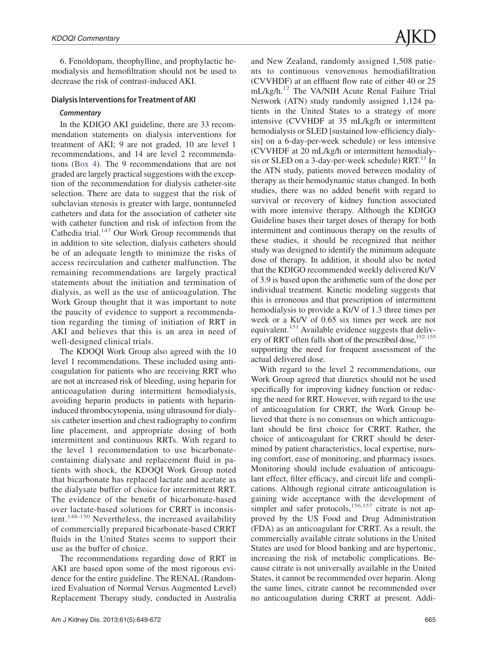6. Fenoldopam, theophylline, and prophylactic hemodialysis and hemofiltration should not be used to decrease the risk of contrast-induced AKI.

# **Dialysis Interventions for Treatment of AKI**

# **Commentary**

In the KDIGO AKI guideline, there are 33 recommendation statements on dialysis interventions for treatment of AKI; 9 are not graded, 10 are level 1 recommendations, and 14 are level 2 recommendations [\(Box 4\)](#page-12-0). The 9 recommendations that are not graded are largely practical suggestions with the exception of the recommendation for dialysis catheter-site selection. There are data to suggest that the risk of subclavian stenosis is greater with large, nontunneled catheters and data for the association of catheter site with catheter function and risk of infection from the Cathedia trial. $147$  Our Work Group recommends that in addition to site selection, dialysis catheters should be of an adequate length to minimize the risks of access recirculation and catheter malfunction. The remaining recommendations are largely practical statements about the initiation and termination of dialysis, as well as the use of anticoagulation. The Work Group thought that it was important to note the paucity of evidence to support a recommendation regarding the timing of initiation of RRT in AKI and believes that this is an area in need of well-designed clinical trials.

The KDOQI Work Group also agreed with the 10 level 1 recommendations. These included using anticoagulation for patients who are receiving RRT who are not at increased risk of bleeding, using heparin for anticoagulation during intermittent hemodialysis, avoiding heparin products in patients with heparininduced thrombocytopenia, using ultrasound for dialysis catheter insertion and chest radiography to confirm line placement, and appropriate dosing of both intermittent and continuous RRTs. With regard to the level 1 recommendation to use bicarbonatecontaining dialysate and replacement fluid in patients with shock, the KDOQI Work Group noted that bicarbonate has replaced lactate and acetate as the dialysate buffer of choice for intermittent RRT. The evidence of the benefit of bicarbonate-based over lactate-based solutions for CRRT is inconsis-tent.<sup>[148-150](#page-22-6)</sup> Nevertheless, the increased availability of commercially prepared bicarbonate-based CRRT fluids in the United States seems to support their use as the buffer of choice.

The recommendations regarding dose of RRT in AKI are based upon some of the most rigorous evidence for the entire guideline. The RENAL (Randomized Evaluation of Normal Versus Augmented Level) Replacement Therapy study, conducted in Australia

and New Zealand, randomly assigned 1,508 patients to continuous venovenous hemodiafiltration (CVVHDF) at an effluent flow rate of either 40 or 25 mL/kg/h[.12](#page-19-19) The VA/NIH Acute Renal Failure Trial Network (ATN) study randomly assigned 1,124 patients in the United States to a strategy of more intensive (CVVHDF at 35 mL/kg/h or intermittent hemodialysis or SLED [sustained low-efficiency dialysis] on a 6-day-per-week schedule) or less intensive (CVVHDF at 20 mL/kg/h or intermittent hemodialysis or SLED on a 3-day-per-week schedule)  $RRT$ <sup>[11](#page-19-20)</sup>. In the ATN study, patients moved between modality of therapy as their hemodynamic status changed. In both studies, there was no added benefit with regard to survival or recovery of kidney function associated with more intensive therapy. Although the KDIGO Guideline bases their target doses of therapy for both intermittent and continuous therapy on the results of these studies, it should be recognized that neither study was designed to identify the minimum adequate dose of therapy. In addition, it should also be noted that the KDIGO recommended weekly delivered Kt/V of 3.9 is based upon the arithmetic sum of the dose per individual treatment. Kinetic modeling suggests that this is erroneous and that prescription of intermittent hemodialysis to provide a Kt/V of 1.3 three times per week or a Kt/V of 0.65 six times per week are not equivalent.<sup>151</sup> Available evidence suggests that delivery of RRT often falls short of the prescribed dose,<sup>152-155</sup> supporting the need for frequent assessment of the actual delivered dose.

With regard to the level 2 recommendations, our Work Group agreed that diuretics should not be used specifically for improving kidney function or reducing the need for RRT. However, with regard to the use of anticoagulation for CRRT, the Work Group believed that there is no consensus on which anticoagulant should be first choice for CRRT. Rather, the choice of anticoagulant for CRRT should be determined by patient characteristics, local expertise, nursing comfort, ease of monitoring, and pharmacy issues. Monitoring should include evaluation of anticoagulant effect, filter efficacy, and circuit life and complications. Although regional citrate anticoagulation is gaining wide acceptance with the development of simpler and safer protocols, $156,157$  citrate is not approved by the US Food and Drug Administration (FDA) as an anticoagulant for CRRT. As a result, the commercially available citrate solutions in the United States are used for blood banking and are hypertonic, increasing the risk of metabolic complications. Because citrate is not universally available in the United States, it cannot be recommended over heparin. Along the same lines, citrate cannot be recommended over no anticoagulation during CRRT at present. Addi-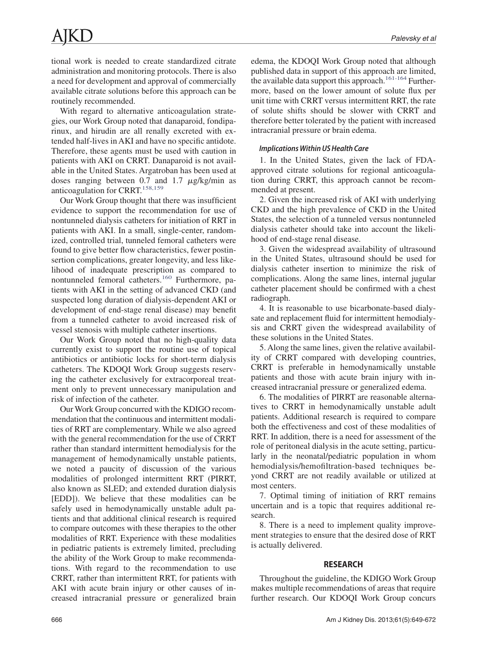# AIKD

tional work is needed to create standardized citrate administration and monitoring protocols. There is also a need for development and approval of commercially available citrate solutions before this approach can be routinely recommended.

With regard to alternative anticoagulation strategies, our Work Group noted that danaparoid, fondiparinux, and hirudin are all renally excreted with extended half-lives in AKI and have no specific antidote. Therefore, these agents must be used with caution in patients with AKI on CRRT. Danaparoid is not available in the United States. Argatroban has been used at doses ranging between  $0.7$  and  $1.7 \mu g/kg/min$  as anticoagulation for CRRT.<sup>[158,159](#page-23-1)</sup>

Our Work Group thought that there was insufficient evidence to support the recommendation for use of nontunneled dialysis catheters for initiation of RRT in patients with AKI. In a small, single-center, randomized, controlled trial, tunneled femoral catheters were found to give better flow characteristics, fewer postinsertion complications, greater longevity, and less likelihood of inadequate prescription as compared to nontunneled femoral catheters.<sup>[160](#page-23-2)</sup> Furthermore, patients with AKI in the setting of advanced CKD (and suspected long duration of dialysis-dependent AKI or development of end-stage renal disease) may benefit from a tunneled catheter to avoid increased risk of vessel stenosis with multiple catheter insertions.

Our Work Group noted that no high-quality data currently exist to support the routine use of topical antibiotics or antibiotic locks for short-term dialysis catheters. The KDOQI Work Group suggests reserving the catheter exclusively for extracorporeal treatment only to prevent unnecessary manipulation and risk of infection of the catheter.

Our Work Group concurred with the KDIGO recommendation that the continuous and intermittent modalities of RRT are complementary. While we also agreed with the general recommendation for the use of CRRT rather than standard intermittent hemodialysis for the management of hemodynamically unstable patients, we noted a paucity of discussion of the various modalities of prolonged intermittent RRT (PIRRT, also known as SLED; and extended duration dialysis [EDD]). We believe that these modalities can be safely used in hemodynamically unstable adult patients and that additional clinical research is required to compare outcomes with these therapies to the other modalities of RRT. Experience with these modalities in pediatric patients is extremely limited, precluding the ability of the Work Group to make recommendations. With regard to the recommendation to use CRRT, rather than intermittent RRT, for patients with AKI with acute brain injury or other causes of increased intracranial pressure or generalized brain edema, the KDOQI Work Group noted that although published data in support of this approach are limited, the available data support this approach.<sup>161-164</sup> Furthermore, based on the lower amount of solute flux per unit time with CRRT versus intermittent RRT, the rate of solute shifts should be slower with CRRT and therefore better tolerated by the patient with increased intracranial pressure or brain edema.

# **ImplicationsWithin US Health Care**

1. In the United States, given the lack of FDAapproved citrate solutions for regional anticoagulation during CRRT, this approach cannot be recommended at present.

2. Given the increased risk of AKI with underlying CKD and the high prevalence of CKD in the United States, the selection of a tunneled versus nontunneled dialysis catheter should take into account the likelihood of end-stage renal disease.

3. Given the widespread availability of ultrasound in the United States, ultrasound should be used for dialysis catheter insertion to minimize the risk of complications. Along the same lines, internal jugular catheter placement should be confirmed with a chest radiograph.

4. It is reasonable to use bicarbonate-based dialysate and replacement fluid for intermittent hemodialysis and CRRT given the widespread availability of these solutions in the United States.

5. Along the same lines, given the relative availability of CRRT compared with developing countries, CRRT is preferable in hemodynamically unstable patients and those with acute brain injury with increased intracranial pressure or generalized edema.

6. The modalities of PIRRT are reasonable alternatives to CRRT in hemodynamically unstable adult patients. Additional research is required to compare both the effectiveness and cost of these modalities of RRT. In addition, there is a need for assessment of the role of peritoneal dialysis in the acute setting, particularly in the neonatal/pediatric population in whom hemodialysis/hemofiltration-based techniques beyond CRRT are not readily available or utilized at most centers.

7. Optimal timing of initiation of RRT remains uncertain and is a topic that requires additional research.

8. There is a need to implement quality improvement strategies to ensure that the desired dose of RRT is actually delivered.

# **RESEARCH**

Throughout the guideline, the KDIGO Work Group makes multiple recommendations of areas that require further research. Our KDOQI Work Group concurs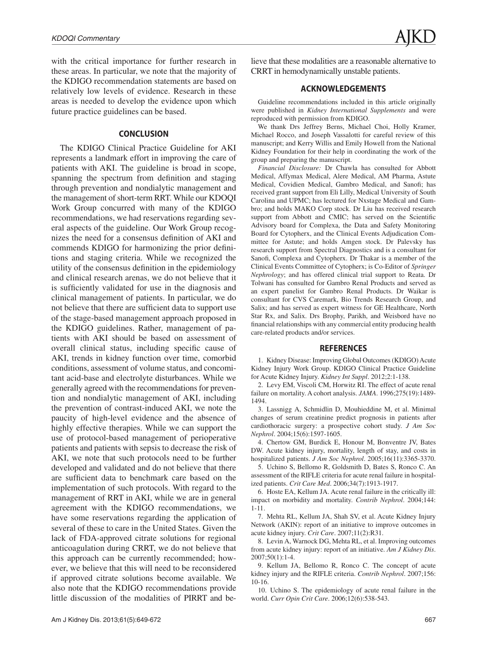with the critical importance for further research in these areas. In particular, we note that the majority of the KDIGO recommendation statements are based on relatively low levels of evidence. Research in these areas is needed to develop the evidence upon which future practice guidelines can be based.

# **CONCLUSION**

The KDIGO Clinical Practice Guideline for AKI represents a landmark effort in improving the care of patients with AKI. The guideline is broad in scope, spanning the spectrum from definition and staging through prevention and nondialytic management and the management of short-term RRT. While our KDOQI Work Group concurred with many of the KDIGO recommendations, we had reservations regarding several aspects of the guideline. Our Work Group recognizes the need for a consensus definition of AKI and commends KDIGO for harmonizing the prior definitions and staging criteria. While we recognized the utility of the consensus definition in the epidemiology and clinical research arenas, we do not believe that it is sufficiently validated for use in the diagnosis and clinical management of patients. In particular, we do not believe that there are sufficient data to support use of the stage-based management approach proposed in the KDIGO guidelines. Rather, management of patients with AKI should be based on assessment of overall clinical status, including specific cause of AKI, trends in kidney function over time, comorbid conditions, assessment of volume status, and concomitant acid-base and electrolyte disturbances. While we generally agreed with the recommendations for prevention and nondialytic management of AKI, including the prevention of contrast-induced AKI, we note the paucity of high-level evidence and the absence of highly effective therapies. While we can support the use of protocol-based management of perioperative patients and patients with sepsis to decrease the risk of AKI, we note that such protocols need to be further developed and validated and do not believe that there are sufficient data to benchmark care based on the implementation of such protocols. With regard to the management of RRT in AKI, while we are in general agreement with the KDIGO recommendations, we have some reservations regarding the application of several of these to care in the United States. Given the lack of FDA-approved citrate solutions for regional anticoagulation during CRRT, we do not believe that this approach can be currently recommended; however, we believe that this will need to be reconsidered if approved citrate solutions become available. We also note that the KDIGO recommendations provide little discussion of the modalities of PIRRT and believe that these modalities are a reasonable alternative to CRRT in hemodynamically unstable patients.

# **ACKNOWLEDGEMENTS**

Guideline recommendations included in this article originally were published in *Kidney International Supplements* and were reproduced with permission from KDIGO.

We thank Drs Jeffrey Berns, Michael Choi, Holly Kramer, Michael Rocco, and Joseph Vassalotti for careful review of this manuscript; and Kerry Willis and Emily Howell from the National Kidney Foundation for their help in coordinating the work of the group and preparing the manuscript.

*Financial Disclosure:* Dr Chawla has consulted for Abbott Medical, Affymax Medical, Alere Medical, AM Pharma, Astute Medical, Covidien Medical, Gambro Medical, and Sanofi; has received grant support from Eli Lilly, Medical University of South Carolina and UPMC; has lectured for Nxstage Medical and Gambro; and holds MAKO Corp stock. Dr Liu has received research support from Abbott and CMIC; has served on the Scientific Advisory board for Complexa, the Data and Safety Monitoring Board for Cytopherx, and the Clinical Events Adjudication Committee for Astute; and holds Amgen stock. Dr Palevsky has research support from Spectral Diagnostics and is a consultant for Sanofi, Complexa and Cytopherx. Dr Thakar is a member of the Clinical Events Committee of Cytopherx; is Co-Editor of *Springer Nephrology*; and has offered clinical trial support to Reata. Dr Tolwani has consulted for Gambro Renal Products and served as an expert panelist for Gambro Renal Products. Dr Waikar is consultant for CVS Caremark, Bio Trends Research Group, and Salix; and has served as expert witness for GE Healthcare, North Star Rx, and Salix. Drs Brophy, Parikh, and Weisbord have no financial relationships with any commercial entity producing health care-related products and/or services.

# **REFERENCES**

<span id="page-18-0"></span>1. Kidney Disease: Improving Global Outcomes (KDIGO) Acute Kidney Injury Work Group. KDIGO Clinical Practice Guideline for Acute Kidney Injury. *Kidney Int Suppl*. 2012;2:1-138.

<span id="page-18-1"></span>2. Levy EM, Viscoli CM, Horwitz RI. The effect of acute renal failure on mortality. A cohort analysis. *JAMA*. 1996;275(19):1489- 1494.

3. Lassnigg A, Schmidlin D, Mouhieddine M, et al. Minimal changes of serum creatinine predict prognosis in patients after cardiothoracic surgery: a prospective cohort study. *J Am Soc Nephrol*. 2004;15(6):1597-1605.

<span id="page-18-4"></span>4. Chertow GM, Burdick E, Honour M, Bonventre JV, Bates DW. Acute kidney injury, mortality, length of stay, and costs in hospitalized patients. *J Am Soc Nephrol*. 2005;16(11):3365-3370.

5. Uchino S, Bellomo R, Goldsmith D, Bates S, Ronco C. An assessment of the RIFLE criteria for acute renal failure in hospitalized patients. *Crit Care Med*. 2006;34(7):1913-1917.

6. Hoste EA, Kellum JA. Acute renal failure in the critically ill: impact on morbidity and mortality. *Contrib Nephrol*. 2004;144: 1-11.

<span id="page-18-2"></span>7. Mehta RL, Kellum JA, Shah SV, et al. Acute Kidney Injury Network (AKIN): report of an initiative to improve outcomes in acute kidney injury. *Crit Care*. 2007;11(2):R31.

8. Levin A, Warnock DG, Mehta RL, et al. Improving outcomes from acute kidney injury: report of an initiative. *Am J Kidney Dis*. 2007;50(1):1-4.

<span id="page-18-3"></span>9. Kellum JA, Bellomo R, Ronco C. The concept of acute kidney injury and the RIFLE criteria. *Contrib Nephrol*. 2007;156: 10-16.

10. Uchino S. The epidemiology of acute renal failure in the world. *Curr Opin Crit Care*. 2006;12(6):538-543.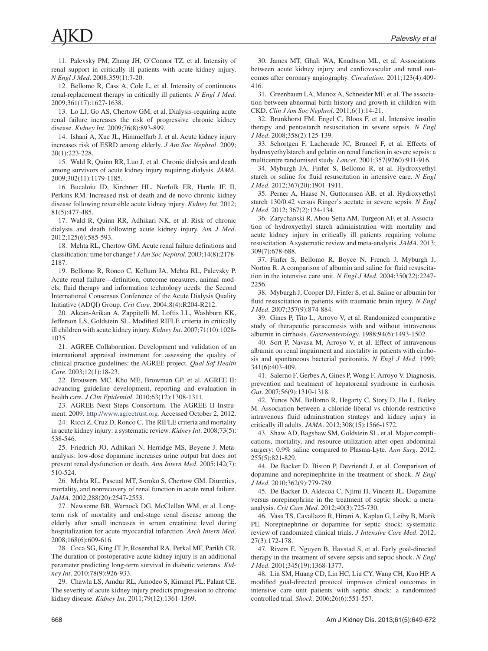<span id="page-19-20"></span>11. Palevsky PM, Zhang JH, O'Connor TZ, et al. Intensity of renal support in critically ill patients with acute kidney injury. *N Engl J Med*. 2008;359(1):7-20.

<span id="page-19-19"></span>12. Bellomo R, Cass A, Cole L, et al. Intensity of continuous renal-replacement therapy in critically ill patients. *N Engl J Med*. 2009;361(17):1627-1638.

<span id="page-19-0"></span>13. Lo LJ, Go AS, Chertow GM, et al. Dialysis-requiring acute renal failure increases the risk of progressive chronic kidney disease. *Kidney Int*. 2009;76(8):893-899.

14. Ishani A, Xue JL, Himmelfarb J, et al. Acute kidney injury increases risk of ESRD among elderly. *J Am Soc Nephrol*. 2009; 20(1):223-228.

15. Wald R, Quinn RR, Luo J, et al. Chronic dialysis and death among survivors of acute kidney injury requiring dialysis. *JAMA*. 2009;302(11):1179-1185.

<span id="page-19-9"></span>16. Bucaloiu ID, Kirchner HL, Norfolk ER, Hartle JE II, Perkins RM. Increased risk of death and de novo chronic kidney disease following reversible acute kidney injury. *Kidney Int*. 2012; 81(5):477-485.

17. Wald R, Quinn RR, Adhikari NK, et al. Risk of chronic dialysis and death following acute kidney injury. *Am J Med*. 2012;125(6):585-593.

<span id="page-19-1"></span>18. Mehta RL, Chertow GM. Acute renal failure definitions and classification: time for change? *J Am Soc Nephrol*. 2003;14(8):2178- 2187.

<span id="page-19-2"></span>19. Bellomo R, Ronco C, Kellum JA, Mehta RL, Palevsky P. Acute renal failure—definition, outcome measures, animal models, fluid therapy and information technology needs: the Second International Consensus Conference of the Acute Dialysis Quality Initiative (ADQI) Group. *Crit Care*. 2004;8(4):R204-R212.

<span id="page-19-3"></span>20. Akcan-Arikan A, Zappitelli M, Loftis LL, Washburn KK, Jefferson LS, Goldstein SL. Modified RIFLE criteria in critically ill children with acute kidney injury. *Kidney Int*. 2007;71(10):1028- 1035.

<span id="page-19-4"></span>21. AGREE Collaboration. Development and validation of an international appraisal instrument for assessing the quality of clinical practice guidelines: the AGREE project. *Qual Saf Health Care*. 2003;12(1):18-23.

22. Brouwers MC, Kho ME, Browman GP, et al. AGREE II: advancing guideline development, reporting and evaluation in health care. *J Clin Epidemiol*. 2010;63(12):1308-1311.

<span id="page-19-5"></span>23. AGREE Next Steps Consortium. The AGREE II Instrument. 2009. [http://www.agreetrust.org.](http://www.agreetrust.org) Accessed October 2, 2012.

24. Ricci Z, Cruz D, Ronco C. The RIFLE criteria and mortality in acute kidney injury: a systematic review. *Kidney Int*. 2008;73(5): 538-546.

<span id="page-19-6"></span>25. Friedrich JO, Adhikari N, Herridge MS, Beyene J. Metaanalysis: low-dose dopamine increases urine output but does not prevent renal dysfunction or death. *Ann Intern Med*. 2005;142(7): 510-524.

26. Mehta RL, Pascual MT, Soroko S, Chertow GM. Diuretics, mortality, and nonrecovery of renal function in acute renal failure. *JAMA*. 2002;288(20):2547-2553.

<span id="page-19-7"></span>27. Newsome BB, Warnock DG, McClellan WM, et al. Longterm risk of mortality and end-stage renal disease among the elderly after small increases in serum creatinine level during hospitalization for acute myocardial infarction. *Arch Intern Med*. 2008;168(6):609-616.

<span id="page-19-8"></span>28. Coca SG, King JT Jr, Rosenthal RA, Perkal MF, Parikh CR. The duration of postoperative acute kidney injury is an additional parameter predicting long-term survival in diabetic veterans. *Kidney Int*. 2010;78(9):926-933.

29. Chawla LS, Amdur RL, Amodeo S, Kimmel PL, Palant CE. The severity of acute kidney injury predicts progression to chronic kidney disease. *Kidney Int*. 2011;79(12):1361-1369.

30. James MT, Ghali WA, Knudtson ML, et al. Associations between acute kidney injury and cardiovascular and renal outcomes after coronary angiography. *Circulation*. 2011;123(4):409- 416.

<span id="page-19-10"></span>31. Greenbaum LA, Munoz A, Schneider MF, et al. The association between abnormal birth history and growth in children with CKD. *Clin J Am Soc Nephrol*. 2011;6(1):14-21.

<span id="page-19-11"></span>32. Brunkhorst FM, Engel C, Bloos F, et al. Intensive insulin therapy and pentastarch resuscitation in severe sepsis. *N Engl J Med*. 2008;358(2):125-139.

33. Schortgen F, Lacherade JC, Bruneel F, et al. Effects of hydroxyethylstarch and gelatin on renal function in severe sepsis: a multicentre randomised study. *Lancet*. 2001;357(9260):911-916.

34. Myburgh JA, Finfer S, Bellomo R, et al. Hydroxyethyl starch or saline for fluid resuscitation in intensive care. *N Engl J Med*. 2012;367(20):1901-1911.

35. Perner A, Haase N, Guttormsen AB, et al. Hydroxyethyl starch 130/0.42 versus Ringer's acetate in severe sepsis. *N Engl J Med*. 2012; 367(2):124-134.

36. Zarychanski R, Abou-Setta AM, Turgeon AF, et al. Association of hydroxyethyl starch administration with mortality and acute kidney injury in critically ill patients requiring volume resuscitation. A systematic review and meta-analysis. *JAMA*. 2013; 309(7):678-688.

<span id="page-19-12"></span>37. Finfer S, Bellomo R, Boyce N, French J, Myburgh J, Norton R. A comparison of albumin and saline for fluid resuscitation in the intensive care unit. *N Engl J Med*. 2004;350(22):2247- 2256.

38. Myburgh J, Cooper DJ, Finfer S, et al. Saline or albumin for fluid resuscitation in patients with traumatic brain injury. *N Engl J Med*. 2007;357(9):874-884.

<span id="page-19-13"></span>39. Gines P, Tito L, Arroyo V, et al. Randomized comparative study of therapeutic paracentesis with and without intravenous albumin in cirrhosis. *Gastroenterology*. 1988;94(6):1493-1502.

40. Sort P, Navasa M, Arroyo V, et al. Effect of intravenous albumin on renal impairment and mortality in patients with cirrhosis and spontaneous bacterial peritonitis. *N Engl J Med*. 1999; 341(6):403-409.

<span id="page-19-14"></span>41. Salerno F, Gerbes A, Gines P, Wong F, Arroyo V. Diagnosis, prevention and treatment of hepatorenal syndrome in cirrhosis. *Gut*. 2007;56(9):1310-1318.

<span id="page-19-15"></span>42. Yunos NM, Bellomo R, Hegarty C, Story D, Ho L, Bailey M. Association between a chloride-liberal vs chloride-restrictive intravenous fluid administration strategy and kidney injury in critically ill adults. *JAMA*. 2012;308(15):1566-1572.

43. Shaw AD, Bagshaw SM, Goldstein SL, et al. Major complications, mortality, and resource utilization after open abdominal surgery: 0.9% saline compared to Plasma-Lyte. *Ann Surg*. 2012; 255(5):821-829.

<span id="page-19-16"></span>44. De Backer D, Biston P, Devriendt J, et al. Comparison of dopamine and norepinephrine in the treatment of shock. *N Engl J Med*. 2010;362(9):779-789.

<span id="page-19-17"></span>45. De Backer D, Aldecoa C, Njimi H, Vincent JL. Dopamine versus norepinephrine in the treatment of septic shock: a metaanalysis. *Crit Care Med*. 2012;40(3):725-730.

46. Vasu TS, Cavallazzi R, Hirani A, Kaplan G, Leiby B, Marik PE. Norepinephrine or dopamine for septic shock: systematic review of randomized clinical trials. *J Intensive Care Med*. 2012; 27(3):172-178.

<span id="page-19-18"></span>47. Rivers E, Nguyen B, Havstad S, et al. Early goal-directed therapy in the treatment of severe sepsis and septic shock. *N Engl J Med*. 2001;345(19):1368-1377.

48. Lin SM, Huang CD, Lin HC, Liu CY, Wang CH, Kuo HP. A modified goal-directed protocol improves clinical outcomes in intensive care unit patients with septic shock: a randomized controlled trial. *Shock*. 2006;26(6):551-557.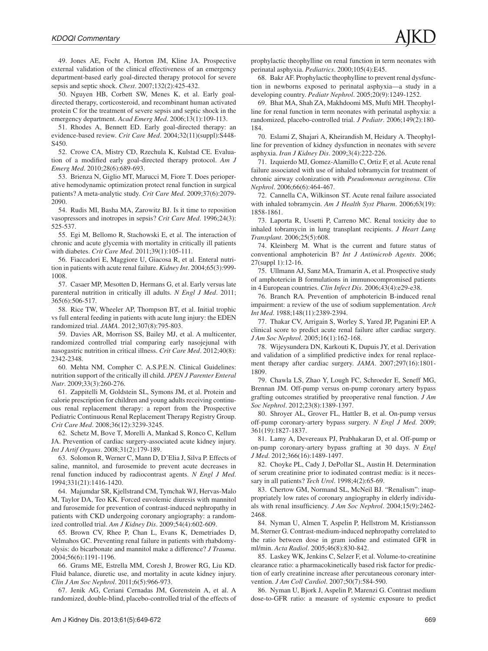<span id="page-20-0"></span>49. Jones AE, Focht A, Horton JM, Kline JA. Prospective external validation of the clinical effectiveness of an emergency department-based early goal-directed therapy protocol for severe sepsis and septic shock. *Chest*. 2007;132(2):425-432.

50. Nguyen HB, Corbett SW, Menes K, et al. Early goaldirected therapy, corticosteroid, and recombinant human activated protein C for the treatment of severe sepsis and septic shock in the emergency department. *Acad Emerg Med*. 2006;13(1):109-113.

51. Rhodes A, Bennett ED. Early goal-directed therapy: an evidence-based review. *Crit Care Med*. 2004;32(11)(suppl):S448- S450.

52. Crowe CA, Mistry CD, Rzechula K, Kulstad CE. Evaluation of a modified early goal-directed therapy protocol. *Am J Emerg Med*. 2010;28(6):689-693.

<span id="page-20-1"></span>53. Brienza N, Giglio MT, Marucci M, Fiore T. Does perioperative hemodynamic optimization protect renal function in surgical patients? A meta-analytic study. *Crit Care Med*. 2009;37(6):2079- 2090.

<span id="page-20-2"></span>54. Rudis MI, Basha MA, Zarowitz BJ. Is it time to reposition vasopressors and inotropes in sepsis? *Crit Care Med*. 1996;24(3): 525-537.

<span id="page-20-3"></span>55. Egi M, Bellomo R, Stachowski E, et al. The interaction of chronic and acute glycemia with mortality in critically ill patients with diabetes. *Crit Care Med*. 2011;39(1):105-111.

<span id="page-20-4"></span>56. Fiaccadori E, Maggiore U, Giacosa R, et al. Enteral nutrition in patients with acute renal failure. *Kidney Int*. 2004;65(3):999- 1008.

<span id="page-20-5"></span>57. Casaer MP, Mesotten D, Hermans G, et al. Early versus late parenteral nutrition in critically ill adults. *N Engl J Med*. 2011; 365(6):506-517.

<span id="page-20-6"></span>58. Rice TW, Wheeler AP, Thompson BT, et al. Initial trophic vs full enteral feeding in patients with acute lung injury: the EDEN randomized trial. *JAMA*. 2012;307(8):795-803.

59. Davies AR, Morrison SS, Bailey MJ, et al. A multicenter, randomized controlled trial comparing early nasojejunal with nasogastric nutrition in critical illness. *Crit Care Med*. 2012;40(8): 2342-2348.

<span id="page-20-7"></span>60. Mehta NM, Compher C. A.S.P.E.N. Clinical Guidelines: nutrition support of the critically ill child. *JPEN J Parenter Enteral Nutr*. 2009;33(3):260-276.

<span id="page-20-8"></span>61. Zappitelli M, Goldstein SL, Symons JM, et al. Protein and calorie prescription for children and young adults receiving continuous renal replacement therapy: a report from the Prospective Pediatric Continuous Renal Replacement Therapy Registry Group. *Crit Care Med*. 2008;36(12):3239-3245.

<span id="page-20-9"></span>62. Schetz M, Bove T, Morelli A, Mankad S, Ronco C, Kellum JA. Prevention of cardiac surgery-associated acute kidney injury. *Int J Artif Organs*. 2008;31(2):179-189.

<span id="page-20-10"></span>63. Solomon R, Werner C, Mann D, D'Elia J, Silva P. Effects of saline, mannitol, and furosemide to prevent acute decreases in renal function induced by radiocontrast agents. *N Engl J Med*. 1994;331(21):1416-1420.

64. Majumdar SR, Kjellstrand CM, Tymchak WJ, Hervas-Malo M, Taylor DA, Teo KK. Forced euvolemic diuresis with mannitol and furosemide for prevention of contrast-induced nephropathy in patients with CKD undergoing coronary angiography: a randomized controlled trial. *Am J Kidney Dis*. 2009;54(4):602-609.

<span id="page-20-11"></span>65. Brown CV, Rhee P, Chan L, Evans K, Demetriades D, Velmahos GC. Preventing renal failure in patients with rhabdomyolysis: do bicarbonate and mannitol make a difference? *J Trauma*. 2004;56(6):1191-1196.

<span id="page-20-13"></span><span id="page-20-12"></span>66. Grams ME, Estrella MM, Coresh J, Brower RG, Liu KD. Fluid balance, diuretic use, and mortality in acute kidney injury. *Clin J Am Soc Nephrol*. 2011;6(5):966-973.

67. Jenik AG, Ceriani Cernadas JM, Gorenstein A, et al. A randomized, double-blind, placebo-controlled trial of the effects of prophylactic theophylline on renal function in term neonates with perinatal asphyxia. *Pediatrics*. 2000;105(4):E45.

68. Bakr AF. Prophylactic theophylline to prevent renal dysfunction in newborns exposed to perinatal asphyxia—a study in a developing country. *Pediatr Nephrol*. 2005;20(9):1249-1252.

69. Bhat MA, Shah ZA, Makhdoomi MS, Mufti MH. Theophylline for renal function in term neonates with perinatal asphyxia: a randomized, placebo-controlled trial. *J Pediatr*. 2006;149(2):180- 184.

<span id="page-20-14"></span>70. Eslami Z, Shajari A, Kheirandish M, Heidary A. Theophylline for prevention of kidney dysfunction in neonates with severe asphyxia. *Iran J Kidney Dis*. 2009;3(4):222-226.

<span id="page-20-15"></span>71. Izquierdo MJ, Gomez-Alamillo C, Ortiz F, et al. Acute renal failure associated with use of inhaled tobramycin for treatment of chronic airway colonization with *Pseudomonas aeruginosa*. *Clin Nephrol*. 2006;66(6):464-467.

72. Cannella CA, Wilkinson ST. Acute renal failure associated with inhaled tobramycin. *Am J Health Syst Pharm*. 2006;63(19): 1858-1861.

73. Laporta R, Ussetti P, Carreno MC. Renal toxicity due to inhaled tobramycin in lung transplant recipients. *J Heart Lung Transplant*. 2006;25(5):608.

<span id="page-20-16"></span>74. Kleinberg M. What is the current and future status of conventional amphotericin B? *Int J Antimicrob Agents*. 2006; 27(suppl 1):12-16.

75. Ullmann AJ, Sanz MA, Tramarin A, et al. Prospective study of amphotericin B formulations in immunocompromised patients in 4 European countries. *Clin Infect Dis*. 2006;43(4):e29-e38.

<span id="page-20-17"></span>76. Branch RA. Prevention of amphotericin B-induced renal impairment: a review of the use of sodium supplementation. *Arch Int Med*. 1988;148(11):2389-2394.

<span id="page-20-18"></span>77. Thakar CV, Arrigain S, Worley S, Yared JP, Paganini EP. A clinical score to predict acute renal failure after cardiac surgery. *J Am Soc Nephrol*. 2005;16(1):162-168.

78. Wijeysundera DN, Karkouti K, Dupuis JY, et al. Derivation and validation of a simplified predictive index for renal replacement therapy after cardiac surgery. *JAMA*. 2007;297(16):1801- 1809.

<span id="page-20-19"></span>79. Chawla LS, Zhao Y, Lough FC, Schroeder E, Seneff MG, Brennan JM. Off-pump versus on-pump coronary artery bypass grafting outcomes stratified by preoperative renal function. *J Am Soc Nephrol*. 2012;23(8):1389-1397.

<span id="page-20-20"></span>80. Shroyer AL, Grover FL, Hattler B, et al. On-pump versus off-pump coronary-artery bypass surgery. *N Engl J Med*. 2009; 361(19):1827-1837.

81. Lamy A, Devereaux PJ, Prabhakaran D, et al. Off-pump or on-pump coronary-artery bypass grafting at 30 days. *N Engl J Med*. 2012;366(16):1489-1497.

<span id="page-20-21"></span>82. Choyke PL, Cady J, DePollar SL, Austin H. Determination of serum creatinine prior to iodinated contrast media: is it necessary in all patients? *Tech Urol*. 1998;4(2):65-69.

<span id="page-20-22"></span>83. Chertow GM, Normand SL, McNeil BJ. "Renalism": inappropriately low rates of coronary angiography in elderly individuals with renal insufficiency. *J Am Soc Nephrol*. 2004;15(9):2462- 2468.

<span id="page-20-23"></span>84. Nyman U, Almen T, Aspelin P, Hellstrom M, Kristiansson M, Sterner G. Contrast-medium-induced nephropathy correlated to the ratio between dose in gram iodine and estimated GFR in ml/min. *Acta Radiol*. 2005;46(8):830-842.

85. Laskey WK, Jenkins C, Selzer F, et al. Volume-to-creatinine clearance ratio: a pharmacokinetically based risk factor for prediction of early creatinine increase after percutaneous coronary intervention. *J Am Coll Cardiol*. 2007;50(7):584-590.

86. Nyman U, Bjork J, Aspelin P, Marenzi G. Contrast medium dose-to-GFR ratio: a measure of systemic exposure to predict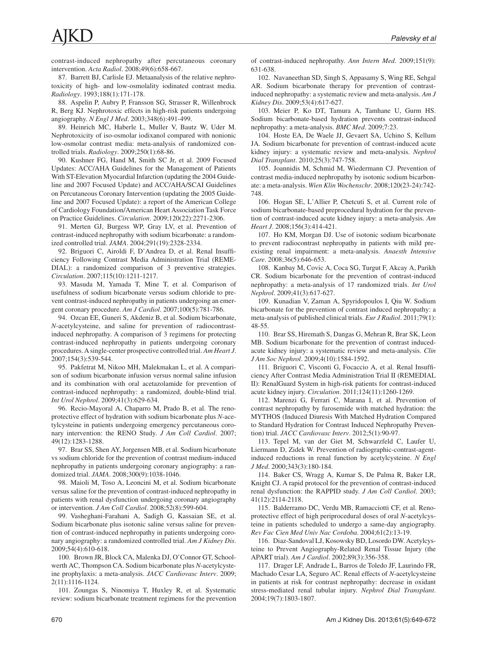contrast-induced nephropathy after percutaneous coronary intervention. *Acta Radiol*. 2008;49(6):658-667.

<span id="page-21-0"></span>87. Barrett BJ, Carlisle EJ. Metaanalysis of the relative nephrotoxicity of high- and low-osmolality iodinated contrast media. *Radiology*. 1993;188(1):171-178.

<span id="page-21-1"></span>88. Aspelin P, Aubry P, Fransson SG, Strasser R, Willenbrock R, Berg KJ. Nephrotoxic effects in high-risk patients undergoing angiography. *N Engl J Med*. 2003;348(6):491-499.

89. Heinrich MC, Haberle L, Muller V, Bautz W, Uder M. Nephrotoxicity of iso-osmolar iodixanol compared with nonionic low-osmolar contrast media: meta-analysis of randomized controlled trials. *Radiology*. 2009;250(1):68-86.

<span id="page-21-2"></span>90. Kushner FG, Hand M, Smith SC Jr, et al. 2009 Focused Updates: ACC/AHA Guidelines for the Management of Patients With ST-Elevation Myocardial Infarction (updating the 2004 Guideline and 2007 Focused Update) and ACC/AHA/SCAI Guidelines on Percutaneous Coronary Intervention (updating the 2005 Guideline and 2007 Focused Update): a report of the American College of Cardiology Foundation/American Heart Association Task Force on Practice Guidelines. *Circulation*. 2009;120(22):2271-2306.

<span id="page-21-3"></span>91. Merten GJ, Burgess WP, Gray LV, et al. Prevention of contrast-induced nephropathy with sodium bicarbonate: a randomized controlled trial. *JAMA*. 2004;291(19):2328-2334.

92. Briguori C, Airoldi F, D'Andrea D, et al. Renal Insufficiency Following Contrast Media Administration Trial (REME-DIAL): a randomized comparison of 3 preventive strategies. *Circulation*. 2007;115(10):1211-1217.

93. Masuda M, Yamada T, Mine T, et al. Comparison of usefulness of sodium bicarbonate versus sodium chloride to prevent contrast-induced nephropathy in patients undergoing an emergent coronary procedure. *Am J Cardiol*. 2007;100(5):781-786.

94. Ozcan EE, Guneri S, Akdeniz B, et al. Sodium bicarbonate, *N*-acetylcysteine, and saline for prevention of radiocontrastinduced nephropathy. A comparison of 3 regimens for protecting contrast-induced nephropathy in patients undergoing coronary procedures. A single-center prospective controlled trial. *Am Heart J*. 2007;154(3):539-544.

95. Pakfetrat M, Nikoo MH, Malekmakan L, et al. A comparison of sodium bicarbonate infusion versus normal saline infusion and its combination with oral acetazolamide for prevention of contrast-induced nephropathy: a randomized, double-blind trial. *Int Urol Nephrol*. 2009;41(3):629-634.

96. Recio-Mayoral A, Chaparro M, Prado B, et al. The renoprotective effect of hydration with sodium bicarbonate plus *N*-acetylcysteine in patients undergoing emergency percutaneous coronary intervention: the RENO Study. *J Am Coll Cardiol*. 2007; 49(12):1283-1288.

97. Brar SS, Shen AY, Jorgensen MB, et al. Sodium bicarbonate vs sodium chloride for the prevention of contrast medium-induced nephropathy in patients undergoing coronary angiography: a randomized trial. *JAMA*. 2008;300(9):1038-1046.

98. Maioli M, Toso A, Leoncini M, et al. Sodium bicarbonate versus saline for the prevention of contrast-induced nephropathy in patients with renal dysfunction undergoing coronary angiography or intervention. *J Am Coll Cardiol*. 2008;52(8):599-604.

99. Vasheghani-Farahani A, Sadigh G, Kassaian SE, et al. Sodium bicarbonate plus isotonic saline versus saline for prevention of contrast-induced nephropathy in patients undergoing coronary angiography: a randomized controlled trial. *Am J Kidney Dis*. 2009;54(4):610-618.

<span id="page-21-4"></span>100. Brown JR, Block CA, Malenka DJ, O'Connor GT, Schoolwerth AC, Thompson CA. Sodium bicarbonate plus *N*-acetylcysteine prophylaxis: a meta-analysis. *JACC Cardiovasc Interv*. 2009; 2(11):1116-1124.

101. Zoungas S, Ninomiya T, Huxley R, et al. Systematic review: sodium bicarbonate treatment regimens for the prevention of contrast-induced nephropathy. *Ann Intern Med*. 2009;151(9): 631-638.

102. Navaneethan SD, Singh S, Appasamy S, Wing RE, Sehgal AR. Sodium bicarbonate therapy for prevention of contrastinduced nephropathy: a systematic review and meta-analysis. *Am J Kidney Dis*. 2009;53(4):617-627.

103. Meier P, Ko DT, Tamura A, Tamhane U, Gurm HS. Sodium bicarbonate-based hydration prevents contrast-induced nephropathy: a meta-analysis. *BMC Med*. 2009;7:23.

104. Hoste EA, De Waele JJ, Gevaert SA, Uchino S, Kellum JA. Sodium bicarbonate for prevention of contrast-induced acute kidney injury: a systematic review and meta-analysis. *Nephrol Dial Transplant*. 2010;25(3):747-758.

105. Joannidis M, Schmid M, Wiedermann CJ. Prevention of contrast media-induced nephropathy by isotonic sodium bicarbonate: a meta-analysis. *Wien Klin Wochenschr*. 2008;120(23-24):742- 748.

106. Hogan SE, L'Allier P, Chetcuti S, et al. Current role of sodium bicarbonate-based preprocedural hydration for the prevention of contrast-induced acute kidney injury: a meta-analysis. *Am Heart J*. 2008;156(3):414-421.

107. Ho KM, Morgan DJ. Use of isotonic sodium bicarbonate to prevent radiocontrast nephropathy in patients with mild preexisting renal impairment: a meta-analysis. *Anaesth Intensive Care*. 2008;36(5):646-653.

108. Kanbay M, Covic A, Coca SG, Turgut F, Akcay A, Parikh CR. Sodium bicarbonate for the prevention of contrast-induced nephropathy: a meta-analysis of 17 randomized trials. *Int Urol Nephrol*. 2009;41(3):617-627.

109. Kunadian V, Zaman A, Spyridopoulos I, Qiu W. Sodium bicarbonate for the prevention of contrast induced nephropathy: a meta-analysis of published clinical trials. *Eur J Radiol*. 2011;79(1): 48-55.

110. Brar SS, Hiremath S, Dangas G, Mehran R, Brar SK, Leon MB. Sodium bicarbonate for the prevention of contrast inducedacute kidney injury: a systematic review and meta-analysis. *Clin J Am Soc Nephrol*. 2009;4(10):1584-1592.

<span id="page-21-5"></span>111. Briguori C, Visconti G, Focaccio A, et al. Renal Insufficiency After Contrast Media Administration Trial II (REMEDIAL II): RenalGuard System in high-risk patients for contrast-induced acute kidney injury. *Circulation*. 2011;124(11):1260-1269.

112. Marenzi G, Ferrari C, Marana I, et al. Prevention of contrast nephropathy by furosemide with matched hydration: the MYTHOS (Induced Diuresis With Matched Hydration Compared to Standard Hydration for Contrast Induced Nephropathy Prevention) trial. *JACC Cardiovasc Interv*. 2012;5(1):90-97.

<span id="page-21-6"></span>113. Tepel M, van der Giet M, Schwarzfeld C, Laufer U, Liermann D, Zidek W. Prevention of radiographic-contrast-agentinduced reductions in renal function by acetylcysteine. *N Engl J Med*. 2000;343(3):180-184.

114. Baker CS, Wragg A, Kumar S, De Palma R, Baker LR, Knight CJ. A rapid protocol for the prevention of contrast-induced renal dysfunction: the RAPPID study. *J Am Coll Cardiol*. 2003; 41(12):2114-2118.

115. Balderramo DC, Verdu MB, Ramacciotti CF, et al. Renoprotective effect of high periprocedural doses of oral *N*-acetylcysteine in patients scheduled to undergo a same-day angiography. *Rev Fac Cien Med Univ Nac Cordoba*. 2004;61(2):13-19.

116. Diaz-Sandoval LJ, Kosowsky BD, Losordo DW. Acetylcysteine to Prevent Angiography-Related Renal Tissue Injury (the APART trial). *Am J Cardiol*. 2002;89(3):356-358.

117. Drager LF, Andrade L, Barros de Toledo JF, Laurindo FR, Machado Cesar LA, Seguro AC. Renal effects of *N*-acetylcysteine in patients at risk for contrast nephropathy: decrease in oxidant stress-mediated renal tubular injury. *Nephrol Dial Transplant*. 2004;19(7):1803-1807.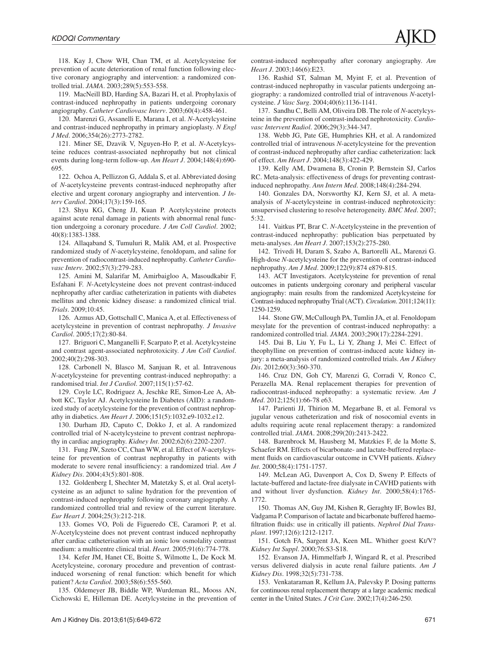118. Kay J, Chow WH, Chan TM, et al. Acetylcysteine for prevention of acute deterioration of renal function following elective coronary angiography and intervention: a randomized controlled trial. *JAMA*. 2003;289(5):553-558.

119. MacNeill BD, Harding SA, Bazari H, et al. Prophylaxis of contrast-induced nephropathy in patients undergoing coronary angiography. *Catheter Cardiovasc Interv*. 2003;60(4):458-461.

120. Marenzi G, Assanelli E, Marana I, et al. *N*-Acetylcysteine and contrast-induced nephropathy in primary angioplasty. *N Engl J Med*. 2006;354(26):2773-2782.

121. Miner SE, Dzavik V, Nguyen-Ho P, et al. *N*-Acetylcysteine reduces contrast-associated nephropathy but not clinical events during long-term follow-up. *Am Heart J*. 2004;148(4):690- 695.

122. Ochoa A, Pellizzon G, Addala S, et al. Abbreviated dosing of *N*-acetylcysteine prevents contrast-induced nephropathy after elective and urgent coronary angiography and intervention. *J Interv Cardiol*. 2004;17(3):159-165.

123. Shyu KG, Cheng JJ, Kuan P. Acetylcysteine protects against acute renal damage in patients with abnormal renal function undergoing a coronary procedure. *J Am Coll Cardiol*. 2002; 40(8):1383-1388.

124. Allaqaband S, Tumuluri R, Malik AM, et al. Prospective randomized study of *N*-acetylcysteine, fenoldopam, and saline for prevention of radiocontrast-induced nephropathy. *Catheter Cardiovasc Interv*. 2002;57(3):279-283.

125. Amini M, Salarifar M, Amirbaigloo A, Masoudkabir F, Esfahani F. *N*-Acetylcysteine does not prevent contrast-induced nephropathy after cardiac catheterization in patients with diabetes mellitus and chronic kidney disease: a randomized clinical trial. *Trials*. 2009;10:45.

126. Azmus AD, Gottschall C, Manica A, et al. Effectiveness of acetylcysteine in prevention of contrast nephropathy. *J Invasive Cardiol*. 2005;17(2):80-84.

127. Briguori C, Manganelli F, Scarpato P, et al. Acetylcysteine and contrast agent-associated nephrotoxicity. *J Am Coll Cardiol*. 2002;40(2):298-303.

128. Carbonell N, Blasco M, Sanjuan R, et al. Intravenous *N*-acetylcysteine for preventing contrast-induced nephropathy: a randomised trial. *Int J Cardiol*. 2007;115(1):57-62.

129. Coyle LC, Rodriguez A, Jeschke RE, Simon-Lee A, Abbott KC, Taylor AJ. Acetylcysteine In Diabetes (AID): a randomized study of acetylcysteine for the prevention of contrast nephropathy in diabetics. *Am Heart J*. 2006;151(5):1032.e9-1032.e12.

130. Durham JD, Caputo C, Dokko J, et al. A randomized controlled trial of N-acetylcysteine to prevent contrast nephropathy in cardiac angiography. *Kidney Int*. 2002;62(6):2202-2207.

131. Fung JW, Szeto CC, Chan WW, et al. Effect of *N*-acetylcysteine for prevention of contrast nephropathy in patients with moderate to severe renal insufficiency: a randomized trial. *Am J Kidney Dis*. 2004;43(5):801-808.

132. Goldenberg I, Shechter M, Matetzky S, et al. Oral acetylcysteine as an adjunct to saline hydration for the prevention of contrast-induced nephropathy following coronary angiography. A randomized controlled trial and review of the current literature. *Eur Heart J*. 2004;25(3):212-218.

133. Gomes VO, Poli de Figueredo CE, Caramori P, et al. *N*-Acetylcysteine does not prevent contrast induced nephropathy after cardiac catheterisation with an ionic low osmolality contrast medium: a multicentre clinical trial. *Heart*. 2005;91(6):774-778.

134. Kefer JM, Hanet CE, Boitte S, Wilmotte L, De Kock M. Acetylcysteine, coronary procedure and prevention of contrastinduced worsening of renal function: which benefit for which patient? *Acta Cardiol*. 2003;58(6):555-560.

135. Oldemeyer JB, Biddle WP, Wurdeman RL, Mooss AN, Cichowski E, Hilleman DE. Acetylcysteine in the prevention of contrast-induced nephropathy after coronary angiography. *Am Heart J*. 2003;146(6):E23.

136. Rashid ST, Salman M, Myint F, et al. Prevention of contrast-induced nephropathy in vascular patients undergoing angiography: a randomized controlled trial of intravenous *N*-acetylcysteine. *J Vasc Surg*. 2004;40(6):1136-1141.

137. Sandhu C, Belli AM, Oliveira DB. The role of *N*-acetylcysteine in the prevention of contrast-induced nephrotoxicity. *Cardiovasc Intervent Radiol*. 2006;29(3):344-347.

138. Webb JG, Pate GE, Humphries KH, et al. A randomized controlled trial of intravenous *N*-acetylcysteine for the prevention of contrast-induced nephropathy after cardiac catheterization: lack of effect. *Am Heart J*. 2004;148(3):422-429.

<span id="page-22-0"></span>139. Kelly AM, Dwamena B, Cronin P, Bernstein SJ, Carlos RC. Meta-analysis: effectiveness of drugs for preventing contrastinduced nephropathy. *Ann Intern Med*. 2008;148(4):284-294.

140. Gonzales DA, Norsworthy KJ, Kern SJ, et al. A metaanalysis of *N*-acetylcysteine in contrast-induced nephrotoxicity: unsupervised clustering to resolve heterogeneity. *BMC Med*. 2007; 5:32.

141. Vaitkus PT, Brar C. *N*-Acetylcysteine in the prevention of contrast-induced nephropathy: publication bias perpetuated by meta-analyses. *Am Heart J*. 2007;153(2):275-280.

142. Trivedi H, Daram S, Szabo A, Bartorelli AL, Marenzi G. High-dose *N*-acetylcysteine for the prevention of contrast-induced nephropathy. *Am J Med*. 2009;122(9):874 e879-815.

<span id="page-22-1"></span>143. ACT Investigators. Acetylcysteine for prevention of renal outcomes in patients undergoing coronary and peripheral vascular angiography: main results from the randomized Acetylcysteine for Contrast-induced nephropathy Trial (ACT).*Circulation*. 2011;124(11): 1250-1259.

<span id="page-22-2"></span>144. Stone GW, McCullough PA, Tumlin JA, et al. Fenoldopam mesylate for the prevention of contrast-induced nephropathy: a randomized controlled trial. *JAMA*. 2003;290(17):2284-2291.

<span id="page-22-3"></span>145. Dai B, Liu Y, Fu L, Li Y, Zhang J, Mei C. Effect of theophylline on prevention of contrast-induced acute kidney injury: a meta-analysis of randomized controlled trials. *Am J Kidney Dis*. 2012;60(3):360-370.

<span id="page-22-4"></span>146. Cruz DN, Goh CY, Marenzi G, Corradi V, Ronco C, Perazella MA. Renal replacement therapies for prevention of radiocontrast-induced nephropathy: a systematic review. *Am J Med*. 2012;125(1):66-78 e63.

<span id="page-22-5"></span>147. Parienti JJ, Thirion M, Megarbane B, et al. Femoral vs jugular venous catheterization and risk of nosocomial events in adults requiring acute renal replacement therapy: a randomized controlled trial. *JAMA*. 2008;299(20):2413-2422.

<span id="page-22-6"></span>148. Barenbrock M, Hausberg M, Matzkies F, de la Motte S, Schaefer RM. Effects of bicarbonate- and lactate-buffered replacement fluids on cardiovascular outcome in CVVH patients. *Kidney Int*. 2000;58(4):1751-1757.

149. McLean AG, Davenport A, Cox D, Sweny P. Effects of lactate-buffered and lactate-free dialysate in CAVHD patients with and without liver dysfunction. *Kidney Int*. 2000;58(4):1765- 1772.

150. Thomas AN, Guy JM, Kishen R, Geraghty IF, Bowles BJ, Vadgama P. Comparison of lactate and bicarbonate buffered haemofiltration fluids: use in critically ill patients. *Nephrol Dial Transplant*. 1997;12(6):1212-1217.

<span id="page-22-8"></span><span id="page-22-7"></span>151. Gotch FA, Sargent JA, Keen ML. Whither goest Kt/V? *Kidney Int Suppl*. 2000;76:S3-S18.

152. Evanson JA, Himmelfarb J, Wingard R, et al. Prescribed versus delivered dialysis in acute renal failure patients. *Am J Kidney Dis*. 1998;32(5):731-738.

153. Venkataraman R, Kellum JA, Palevsky P. Dosing patterns for continuous renal replacement therapy at a large academic medical center in the United States. *J Crit Care*. 2002;17(4):246-250.